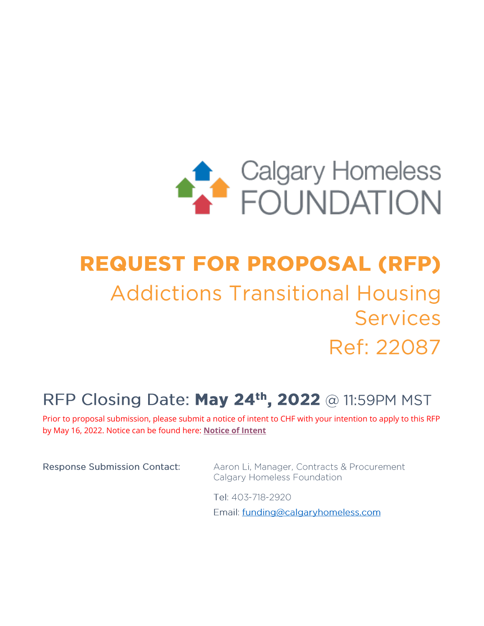

# **REQUEST FOR PROPOSAL (RFP) Addictions Transitional Housing Services** Ref: 22087

# RFP Closing Date: May 24<sup>th</sup>, 2022 @ 11:59PM MST

Prior to proposal submission, please submit a notice of intent to CHF with your intention to apply to this RFP by May 16, 2022. Notice can be found here: **[Notice of Intent](https://forms.office.com/Pages/ResponsePage.aspx?id=2GugXMzBMkK2Q3-ptBH1_nF9yPFyuopEhdm2n8Bbl49UMTFTU0ZMM0NSRDBNV05DOFJYVk8yQkJSNC4u&wdLOR=cB32136A6-C4BA-4211-A0E0-ACDF49285923)**

**Response Submission Contact:** 

Aaron Li, Manager, Contracts & Procurement **Calgary Homeless Foundation** 

Tel: 403-718-2920

Email: funding@calgaryhomeless.com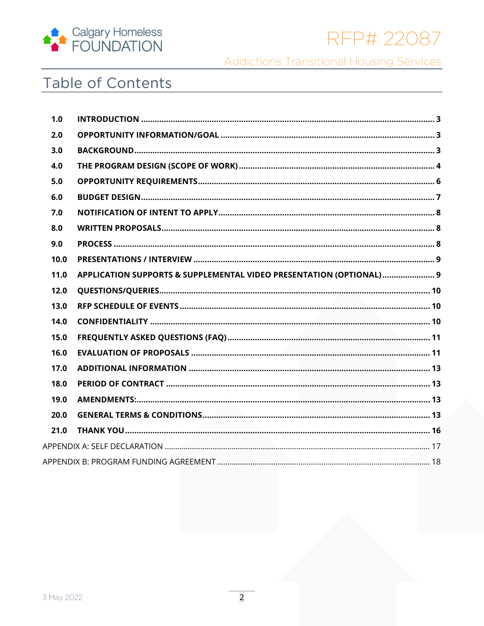

RFP# 22087

**Addictions Transitional Housing Services** 

# Table of Contents

| 1.0  |                                                                     |  |
|------|---------------------------------------------------------------------|--|
| 2.0  |                                                                     |  |
| 3.0  |                                                                     |  |
| 4.0  |                                                                     |  |
| 5.0  |                                                                     |  |
| 6.0  |                                                                     |  |
| 7.0  |                                                                     |  |
| 8.0  |                                                                     |  |
| 9.0  |                                                                     |  |
| 10.0 |                                                                     |  |
| 11.0 | APPLICATION SUPPORTS & SUPPLEMENTAL VIDEO PRESENTATION (OPTIONAL) 9 |  |
| 12.0 |                                                                     |  |
| 13.0 |                                                                     |  |
| 14.0 |                                                                     |  |
| 15.0 |                                                                     |  |
| 16.0 |                                                                     |  |
| 17.0 |                                                                     |  |
| 18.0 |                                                                     |  |
| 19.0 |                                                                     |  |
| 20.0 |                                                                     |  |
| 21.0 |                                                                     |  |
|      |                                                                     |  |
|      |                                                                     |  |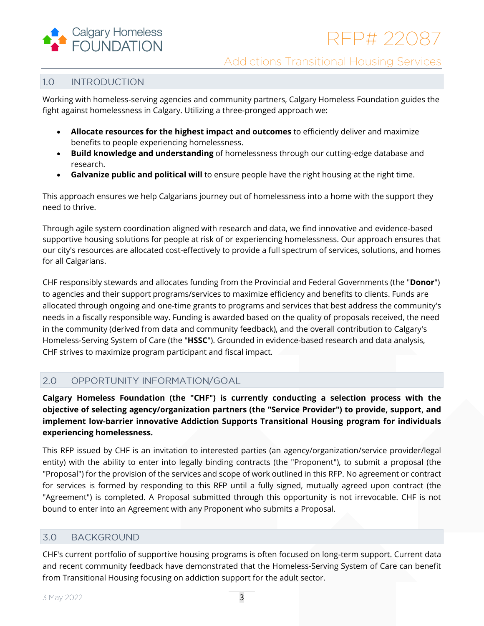

#### <span id="page-2-0"></span> $1.0$ **INTRODUCTION**

Working with homeless-serving agencies and community partners, Calgary Homeless Foundation guides the fight against homelessness in Calgary. Utilizing a three-pronged approach we:

- **Allocate resources for the highest impact and outcomes** to efficiently deliver and maximize benefits to people experiencing homelessness.
- **Build knowledge and understanding** of homelessness through our cutting-edge database and research.
- **Galvanize public and political will** to ensure people have the right housing at the right time.

This approach ensures we help Calgarians journey out of homelessness into a home with the support they need to thrive.

Through agile system coordination aligned with research and data, we find innovative and evidence-based supportive housing solutions for people at risk of or experiencing homelessness. Our approach ensures that our city's resources are allocated cost-effectively to provide a full spectrum of services, solutions, and homes for all Calgarians.

CHF responsibly stewards and allocates funding from the Provincial and Federal Governments (the "**Donor**") to agencies and their support programs/services to maximize efficiency and benefits to clients. Funds are allocated through ongoing and one-time grants to programs and services that best address the community's needs in a fiscally responsible way. Funding is awarded based on the quality of proposals received, the need in the community (derived from data and community feedback), and the overall contribution to Calgary's Homeless-Serving System of Care (the "**HSSC**"). Grounded in evidence-based research and data analysis, CHF strives to maximize program participant and fiscal impact.

#### <span id="page-2-1"></span> $2.0$ OPPORTUNITY INFORMATION/GOAL

**Calgary Homeless Foundation (the "CHF") is currently conducting a selection process with the objective of selecting agency/organization partners (the "Service Provider") to provide, support, and implement low-barrier innovative Addiction Supports Transitional Housing program for individuals experiencing homelessness.** 

This RFP issued by CHF is an invitation to interested parties (an agency/organization/service provider/legal entity) with the ability to enter into legally binding contracts (the "Proponent"), to submit a proposal (the "Proposal") for the provision of the services and scope of work outlined in this RFP. No agreement or contract for services is formed by responding to this RFP until a fully signed, mutually agreed upon contract (the "Agreement") is completed. A Proposal submitted through this opportunity is not irrevocable. CHF is not bound to enter into an Agreement with any Proponent who submits a Proposal.

#### <span id="page-2-2"></span>3.0 **BACKGROUND**

CHF's current portfolio of supportive housing programs is often focused on long-term support. Current data and recent community feedback have demonstrated that the Homeless-Serving System of Care can benefit from Transitional Housing focusing on addiction support for the adult sector.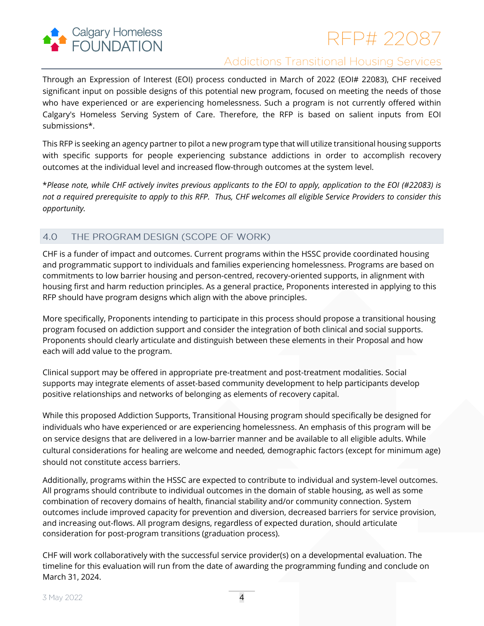

# RFP# 22087

# **Addictions Transitional Housing Services**

Through an Expression of Interest (EOI) process conducted in March of 2022 (EOI# 22083), CHF received significant input on possible designs of this potential new program, focused on meeting the needs of those who have experienced or are experiencing homelessness. Such a program is not currently offered within Calgary's Homeless Serving System of Care. Therefore, the RFP is based on salient inputs from EOI submissions\*.

This RFP is seeking an agency partner to pilot a new program type that will utilize transitional housing supports with specific supports for people experiencing substance addictions in order to accomplish recovery outcomes at the individual level and increased flow-through outcomes at the system level.

\**Please note, while CHF actively invites previous applicants to the EOI to apply, application to the EOI (#22083) is not a required prerequisite to apply to this RFP. Thus, CHF welcomes all eligible Service Providers to consider this opportunity.* 

#### <span id="page-3-0"></span> $4.0$ THE PROGRAM DESIGN (SCOPE OF WORK)

CHF is a funder of impact and outcomes. Current programs within the HSSC provide coordinated housing and programmatic support to individuals and families experiencing homelessness. Programs are based on commitments to low barrier housing and person-centred, recovery-oriented supports, in alignment with housing first and harm reduction principles. As a general practice, Proponents interested in applying to this RFP should have program designs which align with the above principles.

More specifically, Proponents intending to participate in this process should propose a transitional housing program focused on addiction support and consider the integration of both clinical and social supports. Proponents should clearly articulate and distinguish between these elements in their Proposal and how each will add value to the program.

Clinical support may be offered in appropriate pre-treatment and post-treatment modalities. Social supports may integrate elements of asset-based community development to help participants develop positive relationships and networks of belonging as elements of recovery capital.

While this proposed Addiction Supports, Transitional Housing program should specifically be designed for individuals who have experienced or are experiencing homelessness. An emphasis of this program will be on service designs that are delivered in a low-barrier manner and be available to all eligible adults. While cultural considerations for healing are welcome and needed*,* demographic factors (except for minimum age) should not constitute access barriers.

Additionally, programs within the HSSC are expected to contribute to individual and system-level outcomes. All programs should contribute to individual outcomes in the domain of stable housing, as well as some combination of recovery domains of health, financial stability and/or community connection. System outcomes include improved capacity for prevention and diversion, decreased barriers for service provision, and increasing out-flows. All program designs, regardless of expected duration, should articulate consideration for post-program transitions (graduation process).

CHF will work collaboratively with the successful service provider(s) on a developmental evaluation. The timeline for this evaluation will run from the date of awarding the programming funding and conclude on March 31, 2024.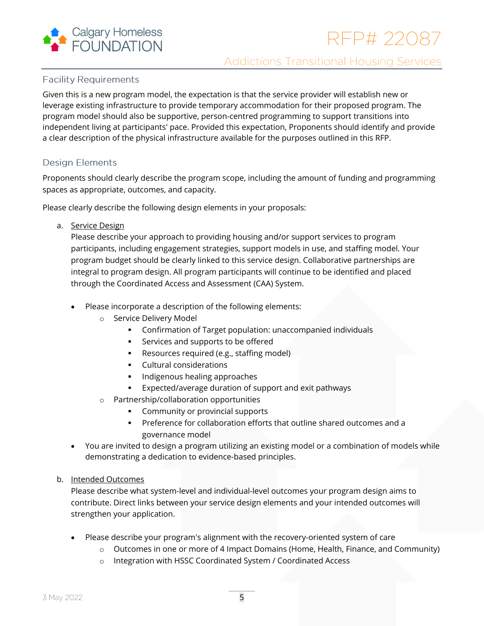

# **Facility Requirements**

Given this is a new program model, the expectation is that the service provider will establish new or leverage existing infrastructure to provide temporary accommodation for their proposed program. The program model should also be supportive, person-centred programming to support transitions into independent living at participants' pace. Provided this expectation, Proponents should identify and provide a clear description of the physical infrastructure available for the purposes outlined in this RFP.

# **Design Elements**

Proponents should clearly describe the program scope, including the amount of funding and programming spaces as appropriate, outcomes, and capacity.

Please clearly describe the following design elements in your proposals:

a. Service Design

Please describe your approach to providing housing and/or support services to program participants, including engagement strategies, support models in use, and staffing model. Your program budget should be clearly linked to this service design. Collaborative partnerships are integral to program design. All program participants will continue to be identified and placed through the Coordinated Access and Assessment (CAA) System.

- Please incorporate a description of the following elements:
	- o Service Delivery Model
		- Confirmation of Target population: unaccompanied individuals
		- Services and supports to be offered
		- Resources required (e.g., staffing model)
		- Cultural considerations
		- Indigenous healing approaches
		- Expected/average duration of support and exit pathways
	- o Partnership/collaboration opportunities
		- Community or provincial supports
		- **•** Preference for collaboration efforts that outline shared outcomes and a governance model
- You are invited to design a program utilizing an existing model or a combination of models while demonstrating a dedication to evidence-based principles.
- b. Intended Outcomes

Please describe what system-level and individual-level outcomes your program design aims to contribute. Direct links between your service design elements and your intended outcomes will strengthen your application.

- Please describe your program's alignment with the recovery-oriented system of care
	- o Outcomes in one or more of 4 Impact Domains (Home, Health, Finance, and Community)
	- o Integration with HSSC Coordinated System / Coordinated Access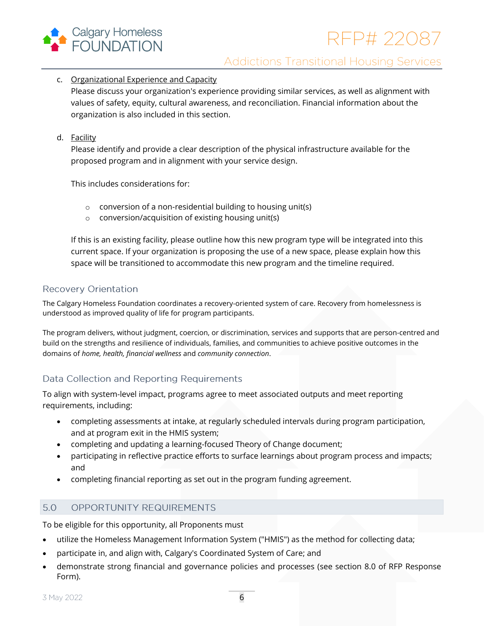

- c. Organizational Experience and Capacity Please discuss your organization's experience providing similar services, as well as alignment with values of safety, equity, cultural awareness, and reconciliation. Financial information about the organization is also included in this section.
- d. Facility

Please identify and provide a clear description of the physical infrastructure available for the proposed program and in alignment with your service design.

This includes considerations for:

- o conversion of a non-residential building to housing unit(s)
- o conversion/acquisition of existing housing unit(s)

If this is an existing facility, please outline how this new program type will be integrated into this current space. If your organization is proposing the use of a new space, please explain how this space will be transitioned to accommodate this new program and the timeline required.

# **Recovery Orientation**

The Calgary Homeless Foundation coordinates a recovery-oriented system of care. Recovery from homelessness is understood as improved quality of life for program participants.

The program delivers, without judgment, coercion, or discrimination, services and supports that are person-centred and build on the strengths and resilience of individuals, families, and communities to achieve positive outcomes in the domains of *home, health, financial wellness* and *community connection*.

# Data Collection and Reporting Requirements

To align with system-level impact, programs agree to meet associated outputs and meet reporting requirements, including:

- completing assessments at intake, at regularly scheduled intervals during program participation, and at program exit in the HMIS system;
- completing and updating a learning-focused Theory of Change document;
- participating in reflective practice efforts to surface learnings about program process and impacts; and
- completing financial reporting as set out in the program funding agreement.

#### <span id="page-5-0"></span> $5.0$ OPPORTUNITY REQUIREMENTS

To be eligible for this opportunity, all Proponents must

- utilize the Homeless Management Information System ("HMIS") as the method for collecting data;
- participate in, and align with, Calgary's Coordinated System of Care; and
- demonstrate strong financial and governance policies and processes (see section 8.0 of RFP Response Form).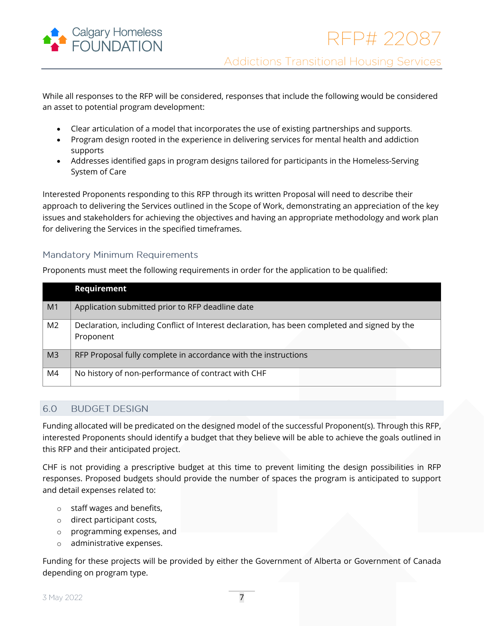

While all responses to the RFP will be considered, responses that include the following would be considered an asset to potential program development:

- Clear articulation of a model that incorporates the use of existing partnerships and supports.
- Program design rooted in the experience in delivering services for mental health and addiction supports
- Addresses identified gaps in program designs tailored for participants in the Homeless-Serving System of Care

Interested Proponents responding to this RFP through its written Proposal will need to describe their approach to delivering the Services outlined in the Scope of Work, demonstrating an appreciation of the key issues and stakeholders for achieving the objectives and having an appropriate methodology and work plan for delivering the Services in the specified timeframes.

# **Mandatory Minimum Requirements**

Proponents must meet the following requirements in order for the application to be qualified:

|                | Requirement                                                                                                |
|----------------|------------------------------------------------------------------------------------------------------------|
| M <sub>1</sub> | Application submitted prior to RFP deadline date                                                           |
| M <sub>2</sub> | Declaration, including Conflict of Interest declaration, has been completed and signed by the<br>Proponent |
| M <sub>3</sub> | RFP Proposal fully complete in accordance with the instructions                                            |
| M4             | No history of non-performance of contract with CHF                                                         |

#### <span id="page-6-0"></span>6.0 **BUDGET DESIGN**

Funding allocated will be predicated on the designed model of the successful Proponent(s). Through this RFP, interested Proponents should identify a budget that they believe will be able to achieve the goals outlined in this RFP and their anticipated project.

CHF is not providing a prescriptive budget at this time to prevent limiting the design possibilities in RFP responses. Proposed budgets should provide the number of spaces the program is anticipated to support and detail expenses related to:

- o staff wages and benefits,
- o direct participant costs,
- o programming expenses, and
- o administrative expenses.

Funding for these projects will be provided by either the Government of Alberta or Government of Canada depending on program type.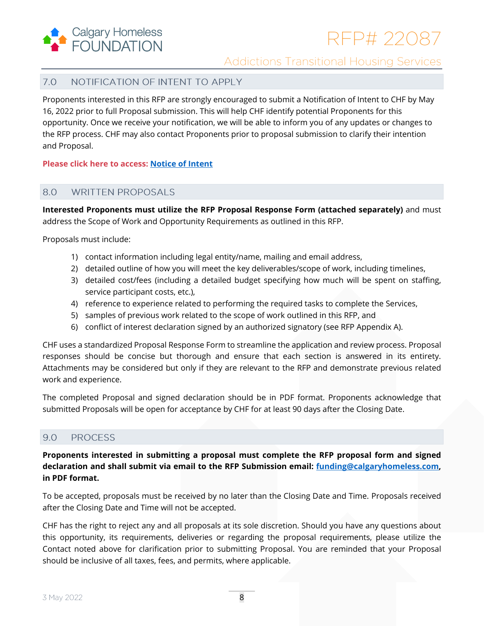

#### <span id="page-7-0"></span> $7.0$ NOTIFICATION OF INTENT TO APPLY

Proponents interested in this RFP are strongly encouraged to submit a Notification of Intent to CHF by May 16, 2022 prior to full Proposal submission. This will help CHF identify potential Proponents for this opportunity. Once we receive your notification, we will be able to inform you of any updates or changes to the RFP process. CHF may also contact Proponents prior to proposal submission to clarify their intention and Proposal.

**Please click here to access: [Notice of Intent](https://forms.office.com/Pages/ResponsePage.aspx?id=2GugXMzBMkK2Q3-ptBH1_nF9yPFyuopEhdm2n8Bbl49UMTFTU0ZMM0NSRDBNV05DOFJYVk8yQkJSNC4u)**

#### <span id="page-7-1"></span>8.0 **WRITTEN PROPOSALS**

**Interested Proponents must utilize the RFP Proposal Response Form (attached separately)** and must address the Scope of Work and Opportunity Requirements as outlined in this RFP.

Proposals must include:

- 1) contact information including legal entity/name, mailing and email address,
- 2) detailed outline of how you will meet the key deliverables/scope of work, including timelines,
- 3) detailed cost/fees (including a detailed budget specifying how much will be spent on staffing, service participant costs, etc.),
- 4) reference to experience related to performing the required tasks to complete the Services,
- 5) samples of previous work related to the scope of work outlined in this RFP, and
- 6) conflict of interest declaration signed by an authorized signatory (see RFP Appendix A).

CHF uses a standardized Proposal Response Form to streamline the application and review process. Proposal responses should be concise but thorough and ensure that each section is answered in its entirety. Attachments may be considered but only if they are relevant to the RFP and demonstrate previous related work and experience.

The completed Proposal and signed declaration should be in PDF format. Proponents acknowledge that submitted Proposals will be open for acceptance by CHF for at least 90 days after the Closing Date.

#### <span id="page-7-2"></span>9.0 **PROCESS**

**Proponents interested in submitting a proposal must complete the RFP proposal form and signed declaration and shall submit via email to the RFP Submission email: [funding@calgaryhomeless.com,](mailto:funding@calgaryhomeless.com) in PDF format.**

To be accepted, proposals must be received by no later than the Closing Date and Time. Proposals received after the Closing Date and Time will not be accepted.

CHF has the right to reject any and all proposals at its sole discretion. Should you have any questions about this opportunity, its requirements, deliveries or regarding the proposal requirements, please utilize the Contact noted above for clarification prior to submitting Proposal. You are reminded that your Proposal should be inclusive of all taxes, fees, and permits, where applicable.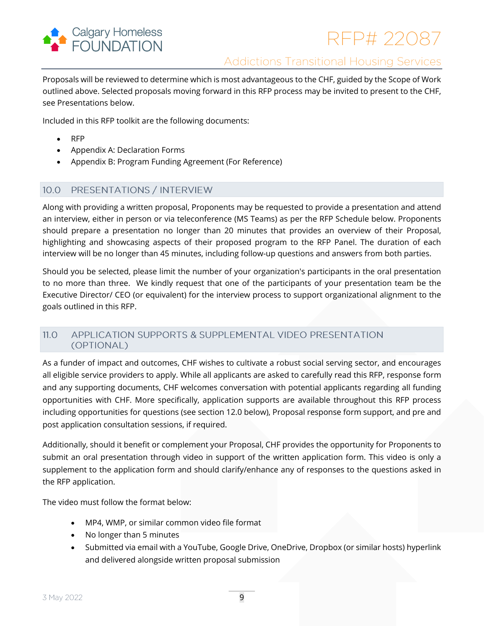

Proposals will be reviewed to determine which is most advantageous to the CHF, guided by the Scope of Work outlined above. Selected proposals moving forward in this RFP process may be invited to present to the CHF, see Presentations below.

Included in this RFP toolkit are the following documents:

- RFP
- Appendix A: Declaration Forms
- Appendix B: Program Funding Agreement (For Reference)

#### <span id="page-8-0"></span> $10.0$ PRESENTATIONS / INTERVIEW

Along with providing a written proposal, Proponents may be requested to provide a presentation and attend an interview, either in person or via teleconference (MS Teams) as per the RFP Schedule below. Proponents should prepare a presentation no longer than 20 minutes that provides an overview of their Proposal, highlighting and showcasing aspects of their proposed program to the RFP Panel. The duration of each interview will be no longer than 45 minutes, including follow-up questions and answers from both parties.

Should you be selected, please limit the number of your organization's participants in the oral presentation to no more than three. We kindly request that one of the participants of your presentation team be the Executive Director/ CEO (or equivalent) for the interview process to support organizational alignment to the goals outlined in this RFP.

#### <span id="page-8-1"></span>APPLICATION SUPPORTS & SUPPLEMENTAL VIDEO PRESENTATION  $11.0$ (OPTIONAL)

As a funder of impact and outcomes, CHF wishes to cultivate a robust social serving sector, and encourages all eligible service providers to apply. While all applicants are asked to carefully read this RFP, response form and any supporting documents, CHF welcomes conversation with potential applicants regarding all funding opportunities with CHF. More specifically, application supports are available throughout this RFP process including opportunities for questions (see section 12.0 below), Proposal response form support, and pre and post application consultation sessions, if required.

Additionally, should it benefit or complement your Proposal, CHF provides the opportunity for Proponents to submit an oral presentation through video in support of the written application form. This video is only a supplement to the application form and should clarify/enhance any of responses to the questions asked in the RFP application.

The video must follow the format below:

- MP4, WMP, or similar common video file format
- No longer than 5 minutes
- Submitted via email with a YouTube, Google Drive, OneDrive, Dropbox (or similar hosts) hyperlink and delivered alongside written proposal submission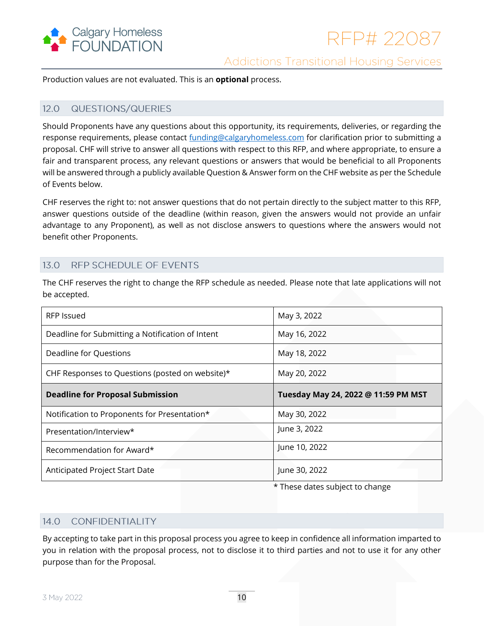

Production values are not evaluated. This is an **optional** process.

#### <span id="page-9-0"></span> $12.0$ **QUESTIONS/QUERIES**

Should Proponents have any questions about this opportunity, its requirements, deliveries, or regarding the response requirements, please contact [funding@calgaryhomeless.com](mailto:funding@calgaryhomeless.com) for clarification prior to submitting a proposal. CHF will strive to answer all questions with respect to this RFP, and where appropriate, to ensure a fair and transparent process, any relevant questions or answers that would be beneficial to all Proponents will be answered through a publicly available Question & Answer form on the CHF website as per the Schedule of Events below.

CHF reserves the right to: not answer questions that do not pertain directly to the subject matter to this RFP, answer questions outside of the deadline (within reason, given the answers would not provide an unfair advantage to any Proponent), as well as not disclose answers to questions where the answers would not benefit other Proponents.

#### <span id="page-9-1"></span> $13.0$ RFP SCHEDULE OF EVENTS

The CHF reserves the right to change the RFP schedule as needed. Please note that late applications will not be accepted.

| RFP Issued                                       | May 3, 2022                         |
|--------------------------------------------------|-------------------------------------|
| Deadline for Submitting a Notification of Intent | May 16, 2022                        |
| Deadline for Questions                           | May 18, 2022                        |
| CHF Responses to Questions (posted on website)*  | May 20, 2022                        |
| <b>Deadline for Proposal Submission</b>          | Tuesday May 24, 2022 @ 11:59 PM MST |
| Notification to Proponents for Presentation*     |                                     |
|                                                  | May 30, 2022                        |
| Presentation/Interview*                          | June 3, 2022                        |
| Recommendation for Award*                        | June 10, 2022                       |

\* These dates subject to change

#### <span id="page-9-2"></span> $14.0$ CONFIDENTIALITY

By accepting to take part in this proposal process you agree to keep in confidence all information imparted to you in relation with the proposal process, not to disclose it to third parties and not to use it for any other purpose than for the Proposal.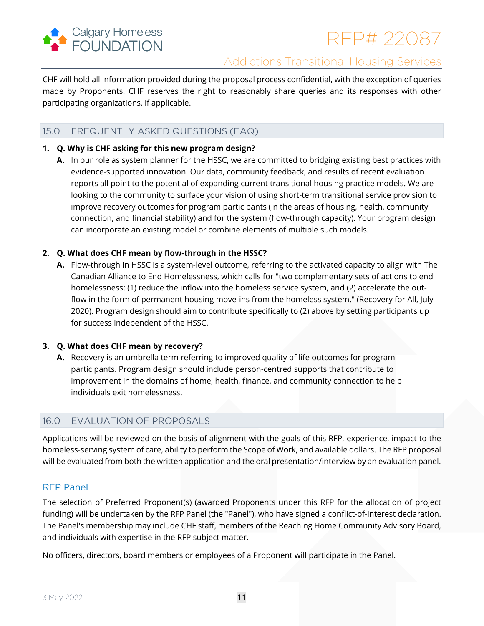

CHF will hold all information provided during the proposal process confidential, with the exception of queries made by Proponents. CHF reserves the right to reasonably share queries and its responses with other participating organizations, if applicable.

#### <span id="page-10-0"></span> $15.0$ FREQUENTLY ASKED QUESTIONS (FAQ)

## **1. Q. Why is CHF asking for this new program design?**

**A.** In our role as system planner for the HSSC, we are committed to bridging existing best practices with evidence-supported innovation. Our data, community feedback, and results of recent evaluation reports all point to the potential of expanding current transitional housing practice models. We are looking to the community to surface your vision of using short-term transitional service provision to improve recovery outcomes for program participants (in the areas of housing, health, community connection, and financial stability) and for the system (flow-through capacity). Your program design can incorporate an existing model or combine elements of multiple such models.

## **2. Q. What does CHF mean by flow-through in the HSSC?**

**A.** Flow-through in HSSC is a system-level outcome, referring to the activated capacity to align with The Canadian Alliance to End Homelessness, which calls for "two complementary sets of actions to end homelessness: (1) reduce the inflow into the homeless service system, and (2) accelerate the outflow in the form of permanent housing move-ins from the homeless system." (Recovery for All, July 2020). Program design should aim to contribute specifically to (2) above by setting participants up for success independent of the HSSC.

## **3. Q. What does CHF mean by recovery?**

**A.** Recovery is an umbrella term referring to improved quality of life outcomes for program participants. Program design should include person-centred supports that contribute to improvement in the domains of home, health, finance, and community connection to help individuals exit homelessness.

#### <span id="page-10-1"></span>16.0 **EVALUATION OF PROPOSALS**

Applications will be reviewed on the basis of alignment with the goals of this RFP, experience, impact to the homeless-serving system of care, ability to perform the Scope of Work, and available dollars. The RFP proposal will be evaluated from both the written application and the oral presentation/interview by an evaluation panel.

## **RFP Panel**

The selection of Preferred Proponent(s) (awarded Proponents under this RFP for the allocation of project funding) will be undertaken by the RFP Panel (the "Panel"), who have signed a conflict-of-interest declaration. The Panel's membership may include CHF staff, members of the Reaching Home Community Advisory Board, and individuals with expertise in the RFP subject matter.

No officers, directors, board members or employees of a Proponent will participate in the Panel.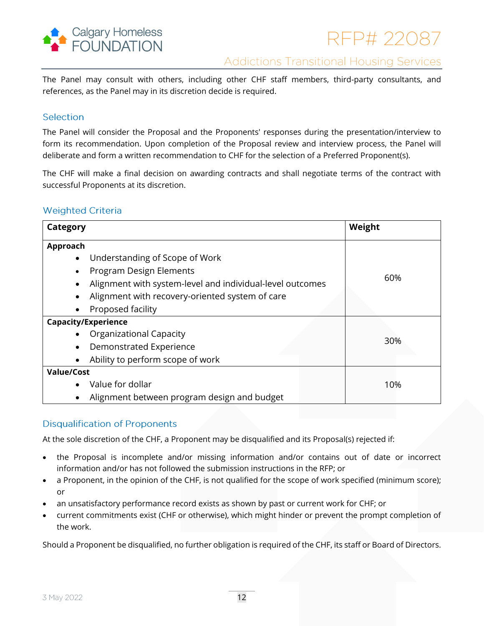

The Panel may consult with others, including other CHF staff members, third-party consultants, and references, as the Panel may in its discretion decide is required.

## Selection

The Panel will consider the Proposal and the Proponents' responses during the presentation/interview to form its recommendation. Upon completion of the Proposal review and interview process, the Panel will deliberate and form a written recommendation to CHF for the selection of a Preferred Proponent(s).

The CHF will make a final decision on awarding contracts and shall negotiate terms of the contract with successful Proponents at its discretion.

# **Weighted Criteria**

| Category                                                  | Weight |
|-----------------------------------------------------------|--------|
| Approach                                                  |        |
| Understanding of Scope of Work<br>$\bullet$               |        |
| Program Design Elements<br>٠                              |        |
| Alignment with system-level and individual-level outcomes | 60%    |
| Alignment with recovery-oriented system of care           |        |
| Proposed facility                                         |        |
| <b>Capacity/Experience</b>                                |        |
| <b>Organizational Capacity</b>                            |        |
| Demonstrated Experience<br>$\bullet$                      | 30%    |
| Ability to perform scope of work                          |        |
| <b>Value/Cost</b>                                         |        |
| Value for dollar                                          | 10%    |
| Alignment between program design and budget<br>$\bullet$  |        |

# **Disqualification of Proponents**

At the sole discretion of the CHF, a Proponent may be disqualified and its Proposal(s) rejected if:

- the Proposal is incomplete and/or missing information and/or contains out of date or incorrect information and/or has not followed the submission instructions in the RFP; or
- a Proponent, in the opinion of the CHF, is not qualified for the scope of work specified (minimum score); or
- an unsatisfactory performance record exists as shown by past or current work for CHF; or
- current commitments exist (CHF or otherwise), which might hinder or prevent the prompt completion of the work.

Should a Proponent be disqualified, no further obligation is required of the CHF, its staff or Board of Directors.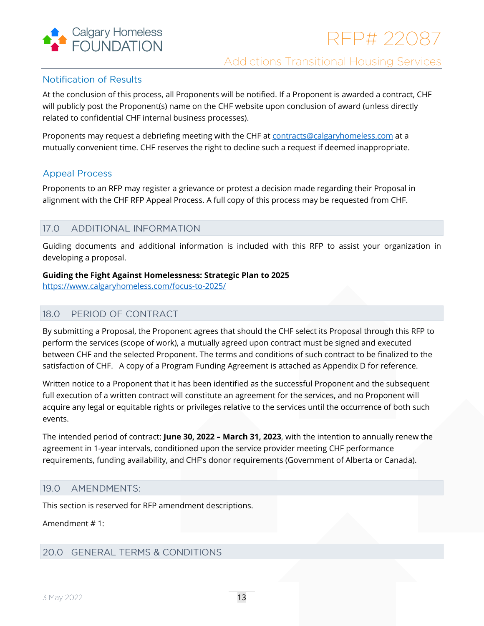

# **Notification of Results**

At the conclusion of this process, all Proponents will be notified. If a Proponent is awarded a contract, CHF will publicly post the Proponent(s) name on the CHF website upon conclusion of award (unless directly related to confidential CHF internal business processes).

Proponents may request a debriefing meeting with the CHF a[t contracts@calgaryhomeless.com](mailto:contracts@calgaryhomeless.com) at a mutually convenient time. CHF reserves the right to decline such a request if deemed inappropriate.

# **Appeal Process**

Proponents to an RFP may register a grievance or protest a decision made regarding their Proposal in alignment with the CHF RFP Appeal Process. A full copy of this process may be requested from CHF.

#### <span id="page-12-0"></span>17.0 ADDITIONAL INFORMATION

Guiding documents and additional information is included with this RFP to assist your organization in developing a proposal.

## **Guiding the Fight Against Homelessness: Strategic Plan to 2025**

<span id="page-12-1"></span><https://www.calgaryhomeless.com/focus-to-2025/>

#### PERIOD OF CONTRACT 18.0

By submitting a Proposal, the Proponent agrees that should the CHF select its Proposal through this RFP to perform the services (scope of work), a mutually agreed upon contract must be signed and executed between CHF and the selected Proponent. The terms and conditions of such contract to be finalized to the satisfaction of CHF. A copy of a Program Funding Agreement is attached as Appendix D for reference.

Written notice to a Proponent that it has been identified as the successful Proponent and the subsequent full execution of a written contract will constitute an agreement for the services, and no Proponent will acquire any legal or equitable rights or privileges relative to the services until the occurrence of both such events.

The intended period of contract: **June 30, 2022 – March 31, 2023**, with the intention to annually renew the agreement in 1-year intervals, conditioned upon the service provider meeting CHF performance requirements, funding availability, and CHF's donor requirements (Government of Alberta or Canada).

#### <span id="page-12-2"></span> $19.0$ AMENDMENTS:

This section is reserved for RFP amendment descriptions.

## Amendment # 1:

# <span id="page-12-3"></span>20.0 GENERAL TERMS & CONDITIONS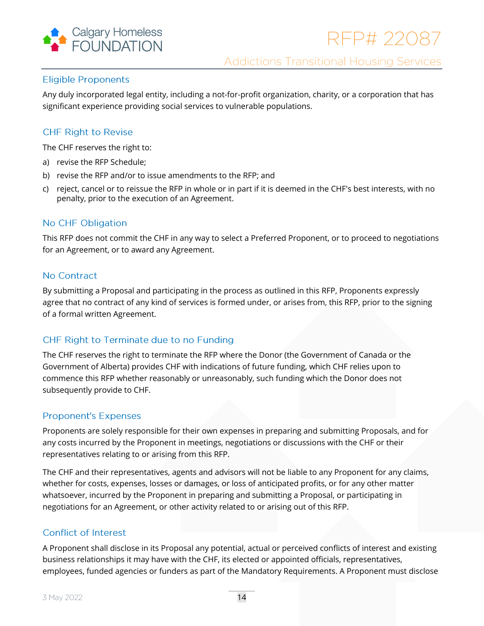

# **Eligible Proponents**

Any duly incorporated legal entity, including a not-for-profit organization, charity, or a corporation that has significant experience providing social services to vulnerable populations.

# **CHF Right to Revise**

The CHF reserves the right to:

- a) revise the RFP Schedule;
- b) revise the RFP and/or to issue amendments to the RFP; and
- c) reject, cancel or to reissue the RFP in whole or in part if it is deemed in the CHF's best interests, with no penalty, prior to the execution of an Agreement.

# No CHF Obligation

This RFP does not commit the CHF in any way to select a Preferred Proponent, or to proceed to negotiations for an Agreement, or to award any Agreement.

# No Contract

By submitting a Proposal and participating in the process as outlined in this RFP, Proponents expressly agree that no contract of any kind of services is formed under, or arises from, this RFP, prior to the signing of a formal written Agreement.

# CHF Right to Terminate due to no Funding

The CHF reserves the right to terminate the RFP where the Donor (the Government of Canada or the Government of Alberta) provides CHF with indications of future funding, which CHF relies upon to commence this RFP whether reasonably or unreasonably, such funding which the Donor does not subsequently provide to CHF.

## **Proponent's Expenses**

Proponents are solely responsible for their own expenses in preparing and submitting Proposals, and for any costs incurred by the Proponent in meetings, negotiations or discussions with the CHF or their representatives relating to or arising from this RFP.

The CHF and their representatives, agents and advisors will not be liable to any Proponent for any claims, whether for costs, expenses, losses or damages, or loss of anticipated profits, or for any other matter whatsoever, incurred by the Proponent in preparing and submitting a Proposal, or participating in negotiations for an Agreement, or other activity related to or arising out of this RFP.

# Conflict of Interest

A Proponent shall disclose in its Proposal any potential, actual or perceived conflicts of interest and existing business relationships it may have with the CHF, its elected or appointed officials, representatives, employees, funded agencies or funders as part of the Mandatory Requirements. A Proponent must disclose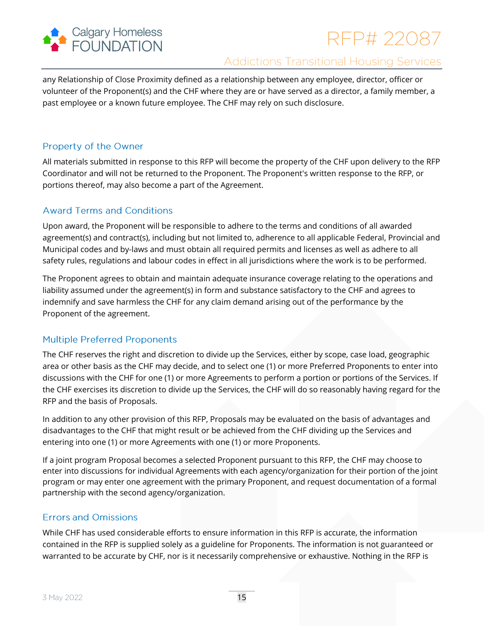

# RFP# 22087

# **Addictions Transitional Housing Services**

any Relationship of Close Proximity defined as a relationship between any employee, director, officer or volunteer of the Proponent(s) and the CHF where they are or have served as a director, a family member, a past employee or a known future employee. The CHF may rely on such disclosure.

# Property of the Owner

All materials submitted in response to this RFP will become the property of the CHF upon delivery to the RFP Coordinator and will not be returned to the Proponent. The Proponent's written response to the RFP, or portions thereof, may also become a part of the Agreement.

# **Award Terms and Conditions**

Upon award, the Proponent will be responsible to adhere to the terms and conditions of all awarded agreement(s) and contract(s), including but not limited to, adherence to all applicable Federal, Provincial and Municipal codes and by-laws and must obtain all required permits and licenses as well as adhere to all safety rules, regulations and labour codes in effect in all jurisdictions where the work is to be performed.

The Proponent agrees to obtain and maintain adequate insurance coverage relating to the operations and liability assumed under the agreement(s) in form and substance satisfactory to the CHF and agrees to indemnify and save harmless the CHF for any claim demand arising out of the performance by the Proponent of the agreement.

# **Multiple Preferred Proponents**

The CHF reserves the right and discretion to divide up the Services, either by scope, case load, geographic area or other basis as the CHF may decide, and to select one (1) or more Preferred Proponents to enter into discussions with the CHF for one (1) or more Agreements to perform a portion or portions of the Services. If the CHF exercises its discretion to divide up the Services, the CHF will do so reasonably having regard for the RFP and the basis of Proposals.

In addition to any other provision of this RFP, Proposals may be evaluated on the basis of advantages and disadvantages to the CHF that might result or be achieved from the CHF dividing up the Services and entering into one (1) or more Agreements with one (1) or more Proponents.

If a joint program Proposal becomes a selected Proponent pursuant to this RFP, the CHF may choose to enter into discussions for individual Agreements with each agency/organization for their portion of the joint program or may enter one agreement with the primary Proponent, and request documentation of a formal partnership with the second agency/organization.

# **Errors and Omissions**

While CHF has used considerable efforts to ensure information in this RFP is accurate, the information contained in the RFP is supplied solely as a guideline for Proponents. The information is not guaranteed or warranted to be accurate by CHF, nor is it necessarily comprehensive or exhaustive. Nothing in the RFP is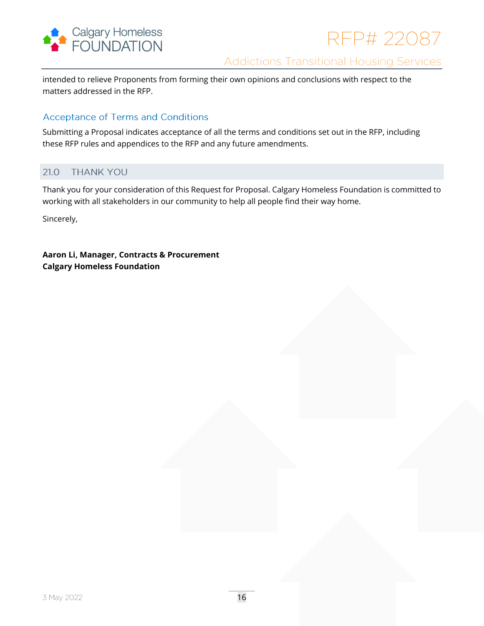

intended to relieve Proponents from forming their own opinions and conclusions with respect to the matters addressed in the RFP.

## **Acceptance of Terms and Conditions**

Submitting a Proposal indicates acceptance of all the terms and conditions set out in the RFP, including these RFP rules and appendices to the RFP and any future amendments.

#### <span id="page-15-0"></span>21.0 **THANK YOU**

Thank you for your consideration of this Request for Proposal. Calgary Homeless Foundation is committed to working with all stakeholders in our community to help all people find their way home.

Sincerely,

**Aaron Li, Manager, Contracts & Procurement Calgary Homeless Foundation**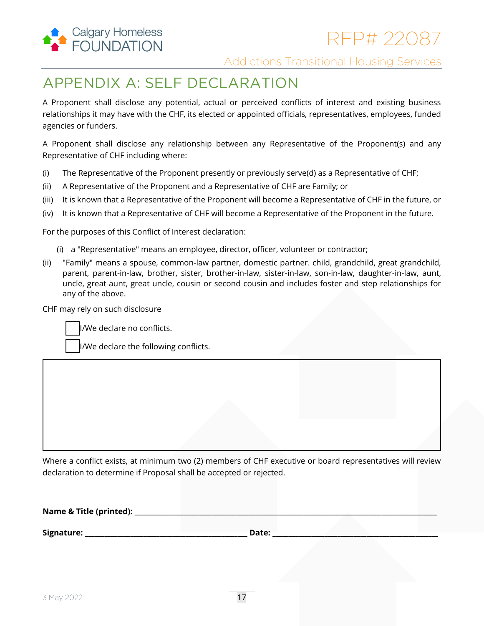

# <span id="page-16-0"></span>**APPENDIX A: SELF DECLARATION**

A Proponent shall disclose any potential, actual or perceived conflicts of interest and existing business relationships it may have with the CHF, its elected or appointed officials, representatives, employees, funded agencies or funders.

A Proponent shall disclose any relationship between any Representative of the Proponent(s) and any Representative of CHF including where:

- (i) The Representative of the Proponent presently or previously serve(d) as a Representative of CHF;
- (ii) A Representative of the Proponent and a Representative of CHF are Family; or
- (iii) It is known that a Representative of the Proponent will become a Representative of CHF in the future, or
- (iv) It is known that a Representative of CHF will become a Representative of the Proponent in the future.

For the purposes of this Conflict of Interest declaration:

- (i) a "Representative" means an employee, director, officer, volunteer or contractor;
- (ii) "Family" means a spouse, common-law partner, domestic partner. child, grandchild, great grandchild, parent, parent-in-law, brother, sister, brother-in-law, sister-in-law, son-in-law, daughter-in-law, aunt, uncle, great aunt, great uncle, cousin or second cousin and includes foster and step relationships for any of the above.

CHF may rely on such disclosure

I/We declare no conflicts.

I/We declare the following conflicts.

Where a conflict exists, at minimum two (2) members of CHF executive or board representatives will review declaration to determine if Proposal shall be accepted or rejected.

| Name & Title (printed): |       |  |
|-------------------------|-------|--|
|                         |       |  |
| Signature:              | Date: |  |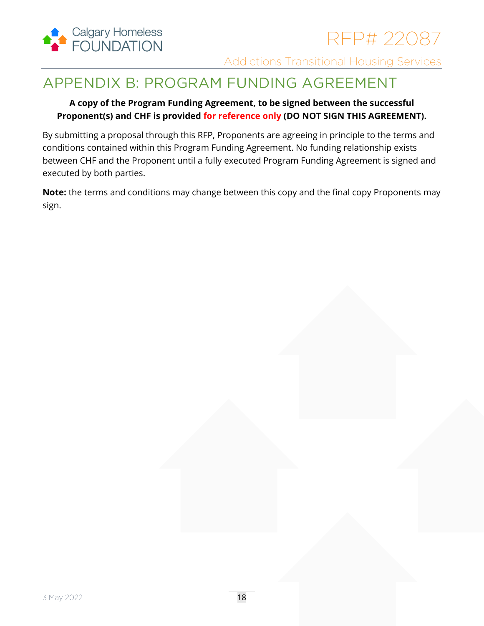

# <span id="page-17-0"></span>APPENDIX B: PROGRAM FUNDING AGREEMENT

# **A copy of the Program Funding Agreement, to be signed between the successful Proponent(s) and CHF is provided for reference only (DO NOT SIGN THIS AGREEMENT).**

By submitting a proposal through this RFP, Proponents are agreeing in principle to the terms and conditions contained within this Program Funding Agreement. No funding relationship exists between CHF and the Proponent until a fully executed Program Funding Agreement is signed and executed by both parties.

**Note:** the terms and conditions may change between this copy and the final copy Proponents may sign.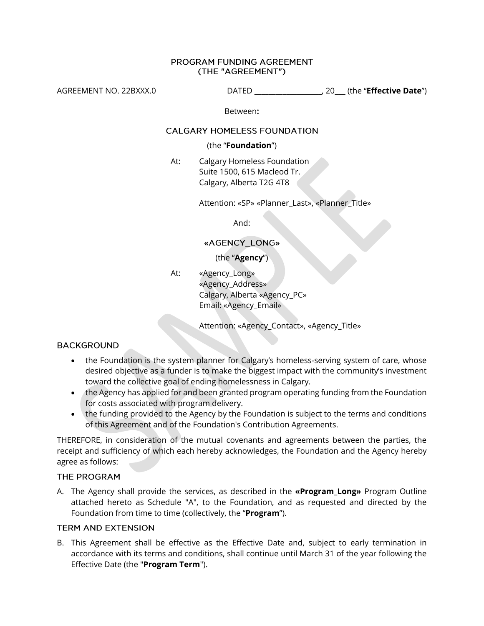### PROGRAM FUNDING AGREEMENT (THE "AGREEMENT")

AGREEMENT NO. 22BXXX.0 DATED \_\_\_\_\_\_\_\_\_\_\_\_\_\_\_\_\_\_\_, 20\_\_\_ (the "**Effective Date**")

Between**:**

## **CALGARY HOMELESS FOUNDATION**

### (the "**Foundation**")

At: Calgary Homeless Foundation Suite 1500, 615 Macleod Tr. Calgary, Alberta T2G 4T8

Attention: «SP» «Planner\_Last», «Planner\_Title»

And:

## «AGENCY\_LONG»

## (the "**Agency**")

At: «Agency\_Long» «Agency\_Address» Calgary, Alberta «Agency\_PC» Email: «Agency\_Email»

Attention: «Agency\_Contact», «Agency\_Title»

## **BACKGROUND**

- the Foundation is the system planner for Calgary's homeless-serving system of care, whose desired objective as a funder is to make the biggest impact with the community's investment toward the collective goal of ending homelessness in Calgary.
- the Agency has applied for and been granted program operating funding from the Foundation for costs associated with program delivery.
- the funding provided to the Agency by the Foundation is subject to the terms and conditions of this Agreement and of the Foundation's Contribution Agreements.

THEREFORE, in consideration of the mutual covenants and agreements between the parties, the receipt and sufficiency of which each hereby acknowledges, the Foundation and the Agency hereby agree as follows:

## THE PROGRAM

A. The Agency shall provide the services, as described in the **«Program\_Long»** Program Outline attached hereto as Schedule "A", to the Foundation, and as requested and directed by the Foundation from time to time (collectively, the "**Program**").

## **TERM AND EXTENSION**

B. This Agreement shall be effective as the Effective Date and, subject to early termination in accordance with its terms and conditions, shall continue until March 31 of the year following the Effective Date (the "**Program Term**").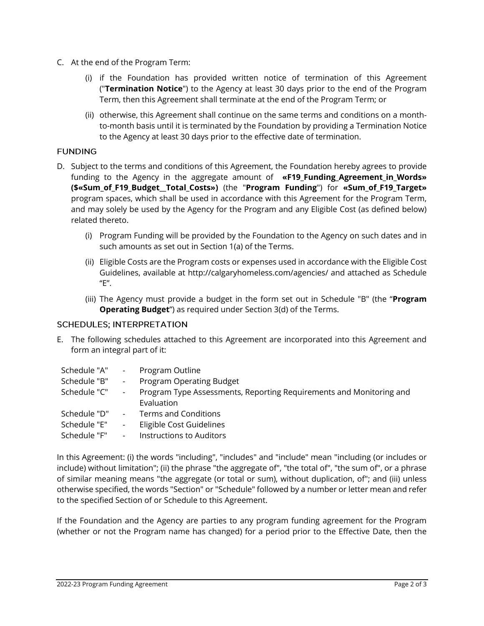- C. At the end of the Program Term:
	- (i) if the Foundation has provided written notice of termination of this Agreement ("**Termination Notice**") to the Agency at least 30 days prior to the end of the Program Term, then this Agreement shall terminate at the end of the Program Term; or
	- (ii) otherwise, this Agreement shall continue on the same terms and conditions on a monthto-month basis until it is terminated by the Foundation by providing a Termination Notice to the Agency at least 30 days prior to the effective date of termination.

## **FUNDING**

- D. Subject to the terms and conditions of this Agreement, the Foundation hereby agrees to provide funding to the Agency in the aggregate amount of **«F19\_Funding\_Agreement\_in\_Words» (\$«Sum\_of\_F19\_Budget\_\_Total\_Costs»)** (the "**Program Funding**") for **«Sum\_of\_F19\_Target»** program spaces, which shall be used in accordance with this Agreement for the Program Term, and may solely be used by the Agency for the Program and any Eligible Cost (as defined below) related thereto.
	- (i) Program Funding will be provided by the Foundation to the Agency on such dates and in such amounts as set out in Section 1(a) of the Terms.
	- (ii) Eligible Costs are the Program costs or expenses used in accordance with the Eligible Cost Guidelines, available at http://calgaryhomeless.com/agencies/ and attached as Schedule "E".
	- (iii) The Agency must provide a budget in the form set out in Schedule "B" (the "**Program Operating Budget**") as required under Section 3(d) of the Terms.

## **SCHEDULES; INTERPRETATION**

E. The following schedules attached to this Agreement are incorporated into this Agreement and form an integral part of it:

| Schedule "A" | $\overline{\phantom{a}}$ | Program Outline                                                                   |
|--------------|--------------------------|-----------------------------------------------------------------------------------|
| Schedule "B" | $\overline{\phantom{a}}$ | Program Operating Budget                                                          |
| Schedule "C" | $\overline{\phantom{a}}$ | Program Type Assessments, Reporting Requirements and Monitoring and<br>Evaluation |
| Schedule "D" | $\overline{\phantom{a}}$ | Terms and Conditions                                                              |
| Schedule "E" | $\overline{\phantom{a}}$ | Eligible Cost Guidelines                                                          |
| Schedule "F" | $\overline{\phantom{a}}$ | Instructions to Auditors                                                          |

In this Agreement: (i) the words "including", "includes" and "include" mean "including (or includes or include) without limitation"; (ii) the phrase "the aggregate of", "the total of", "the sum of", or a phrase of similar meaning means "the aggregate (or total or sum), without duplication, of"; and (iii) unless otherwise specified, the words "Section" or "Schedule" followed by a number or letter mean and refer to the specified Section of or Schedule to this Agreement.

If the Foundation and the Agency are parties to any program funding agreement for the Program (whether or not the Program name has changed) for a period prior to the Effective Date, then the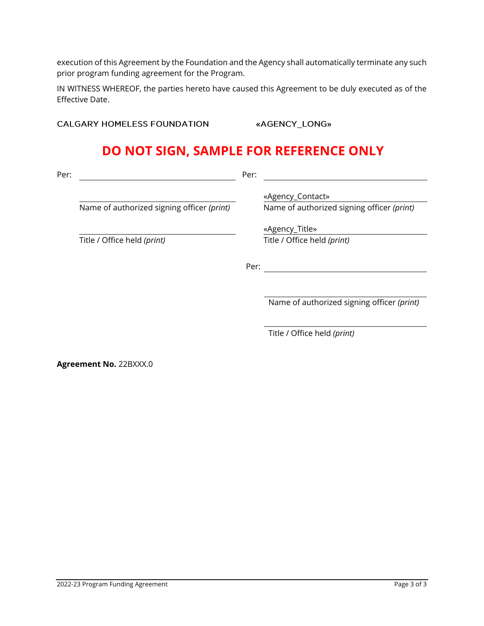execution of this Agreement by the Foundation and the Agency shall automatically terminate any such prior program funding agreement for the Program.

IN WITNESS WHEREOF, the parties hereto have caused this Agreement to be duly executed as of the Effective Date.

**CALGARY HOMELESS FOUNDATION** 

«AGENCY\_LONG»

# **DO NOT SIGN, SAMPLE FOR REFERENCE ONLY**

| Per: |                                            | Per: |                                            |
|------|--------------------------------------------|------|--------------------------------------------|
|      |                                            |      | «Agency_Contact»                           |
|      | Name of authorized signing officer (print) |      | Name of authorized signing officer (print) |
|      |                                            |      | «Agency_Title»                             |
|      | Title / Office held (print)                |      | Title / Office held (print)                |
|      |                                            |      |                                            |
|      |                                            | Per: |                                            |
|      |                                            |      |                                            |
|      |                                            |      |                                            |

Name of authorized signing officer *(print)*

Title / Office held *(print)*

**Agreement No.** 22BXXX.0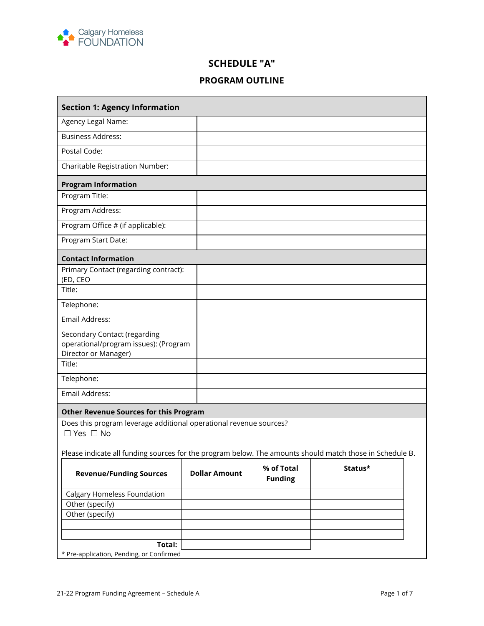

# **SCHEDULE "A"**

# **PROGRAM OUTLINE**

| <b>Section 1: Agency Information</b>                                                                     |                      |                              |         |  |  |  |
|----------------------------------------------------------------------------------------------------------|----------------------|------------------------------|---------|--|--|--|
| Agency Legal Name:                                                                                       |                      |                              |         |  |  |  |
| <b>Business Address:</b>                                                                                 |                      |                              |         |  |  |  |
| Postal Code:                                                                                             |                      |                              |         |  |  |  |
| Charitable Registration Number:                                                                          |                      |                              |         |  |  |  |
| <b>Program Information</b>                                                                               |                      |                              |         |  |  |  |
| Program Title:                                                                                           |                      |                              |         |  |  |  |
| Program Address:                                                                                         |                      |                              |         |  |  |  |
| Program Office # (if applicable):                                                                        |                      |                              |         |  |  |  |
| Program Start Date:                                                                                      |                      |                              |         |  |  |  |
| <b>Contact Information</b>                                                                               |                      |                              |         |  |  |  |
| Primary Contact (regarding contract):                                                                    |                      |                              |         |  |  |  |
| (ED, CEO<br>Title:                                                                                       |                      |                              |         |  |  |  |
| Telephone:                                                                                               |                      |                              |         |  |  |  |
| Email Address:                                                                                           |                      |                              |         |  |  |  |
| Secondary Contact (regarding                                                                             |                      |                              |         |  |  |  |
| operational/program issues): (Program                                                                    |                      |                              |         |  |  |  |
| Director or Manager)                                                                                     |                      |                              |         |  |  |  |
| Title:                                                                                                   |                      |                              |         |  |  |  |
| Telephone:                                                                                               |                      |                              |         |  |  |  |
| Email Address:                                                                                           |                      |                              |         |  |  |  |
| <b>Other Revenue Sources for this Program</b>                                                            |                      |                              |         |  |  |  |
| Does this program leverage additional operational revenue sources?<br>$\Box$ Yes $\Box$ No               |                      |                              |         |  |  |  |
|                                                                                                          |                      |                              |         |  |  |  |
| Please indicate all funding sources for the program below. The amounts should match those in Schedule B. |                      |                              |         |  |  |  |
| <b>Revenue/Funding Sources</b>                                                                           | <b>Dollar Amount</b> | % of Total<br><b>Funding</b> | Status* |  |  |  |
| Calgary Homeless Foundation                                                                              |                      |                              |         |  |  |  |
| Other (specify)                                                                                          |                      |                              |         |  |  |  |
| Other (specify)                                                                                          |                      |                              |         |  |  |  |
|                                                                                                          |                      |                              |         |  |  |  |
| Total:                                                                                                   |                      |                              |         |  |  |  |
| * Pre-application, Pending, or Confirmed                                                                 |                      |                              |         |  |  |  |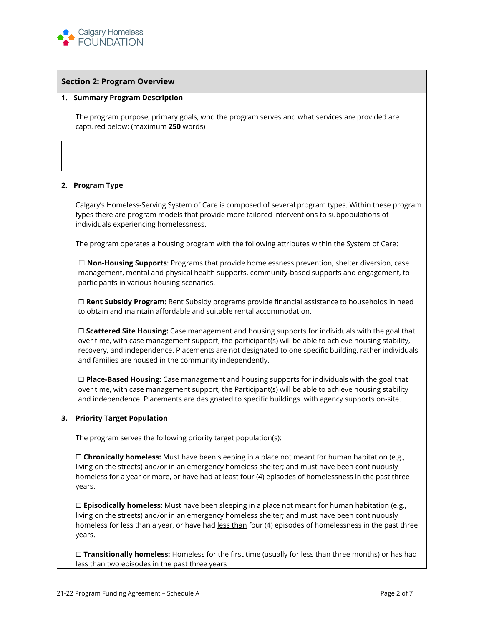

#### **Section 2: Program Overview**

#### **1. Summary Program Description**

The program purpose, primary goals, who the program serves and what services are provided are captured below: (maximum **250** words)

#### **2. Program Type**

Calgary's Homeless-Serving System of Care is composed of several program types. Within these program types there are program models that provide more tailored interventions to subpopulations of individuals experiencing homelessness.

The program operates a housing program with the following attributes within the System of Care:

☐ **Non-Housing Supports**: Programs that provide homelessness prevention, shelter diversion, case management, mental and physical health supports, community-based supports and engagement, to participants in various housing scenarios.

☐ **Rent Subsidy Program:** Rent Subsidy programs provide financial assistance to households in need to obtain and maintain affordable and suitable rental accommodation.

☐ **Scattered Site Housing:** Case management and housing supports for individuals with the goal that over time, with case management support, the participant(s) will be able to achieve housing stability, recovery, and independence. Placements are not designated to one specific building, rather individuals and families are housed in the community independently.

☐ **Place-Based Housing:** Case management and housing supports for individuals with the goal that over time, with case management support, the Participant(s) will be able to achieve housing stability and independence. Placements are designated to specific buildings with agency supports on-site.

#### **3. Priority Target Population**

The program serves the following priority target population(s):

□ **Chronically homeless:** Must have been sleeping in a place not meant for human habitation (e.g., living on the streets) and/or in an emergency homeless shelter; and must have been continuously homeless for a year or more, or have had at least four (4) episodes of homelessness in the past three years.

□ **Episodically homeless:** Must have been sleeping in a place not meant for human habitation (e.g., living on the streets) and/or in an emergency homeless shelter; and must have been continuously homeless for less than a year, or have had less than four (4) episodes of homelessness in the past three years.

☐ **Transitionally homeless:** Homeless for the first time (usually for less than three months) or has had less than two episodes in the past three years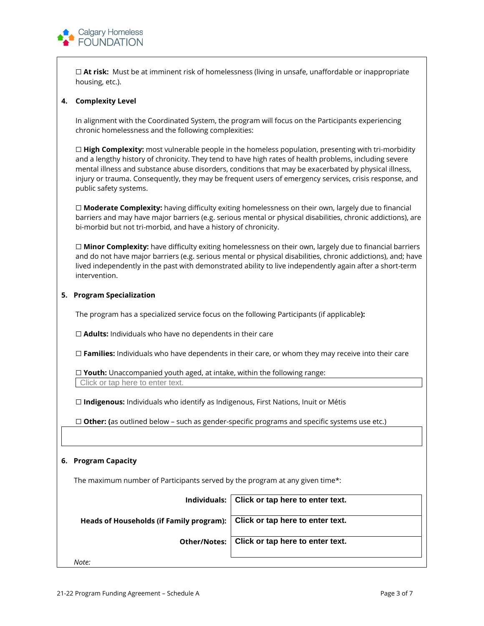

☐ **At risk:** Must be at imminent risk of homelessness (living in unsafe, unaffordable or inappropriate housing, etc.).

#### **4. Complexity Level**

In alignment with the Coordinated System, the program will focus on the Participants experiencing chronic homelessness and the following complexities:

☐ **High Complexity:** most vulnerable people in the homeless population, presenting with tri-morbidity and a lengthy history of chronicity. They tend to have high rates of health problems, including severe mental illness and substance abuse disorders, conditions that may be exacerbated by physical illness, injury or trauma. Consequently, they may be frequent users of emergency services, crisis response, and public safety systems.

□ **Moderate Complexity:** having difficulty exiting homelessness on their own, largely due to financial barriers and may have major barriers (e.g. serious mental or physical disabilities, chronic addictions), are bi-morbid but not tri-morbid, and have a history of chronicity.

☐ **Minor Complexity:** have difficulty exiting homelessness on their own, largely due to financial barriers and do not have major barriers (e.g. serious mental or physical disabilities, chronic addictions), and; have lived independently in the past with demonstrated ability to live independently again after a short-term intervention.

#### **5. Program Specialization**

The program has a specialized service focus on the following Participants (if applicable**):** 

□ **Adults:** Individuals who have no dependents in their care

☐ **Families:** Individuals who have dependents in their care, or whom they may receive into their care

☐ **Youth:** Unaccompanied youth aged, at intake, within the following range: Click or tap here to enter text.

☐ **Indigenous:** Individuals who identify as Indigenous, First Nations, Inuit or Métis

☐ **Other: (**as outlined below – such as gender-specific programs and specific systems use etc.)

### **6. Program Capacity**

The maximum number of Participants served by the program at any given time\*:

**Individuals: Click or tap here to enter text. Heads of Households (if Family program): Click or tap here to enter text. Other/Notes: Click or tap here to enter text.** *Note:*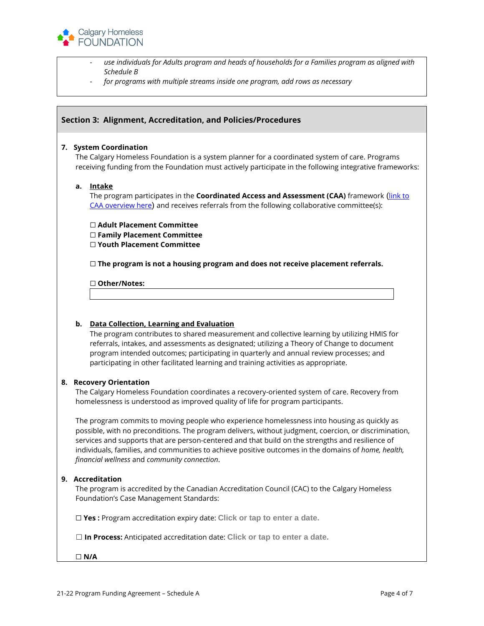

- *use individuals for Adults program and heads of households for a Families program as aligned with Schedule B*
- *for programs with multiple streams inside one program, add rows as necessary*

### **Section 3: Alignment, Accreditation, and Policies/Procedures**

#### **7. System Coordination**

The Calgary Homeless Foundation is a system planner for a coordinated system of care. Programs receiving funding from the Foundation must actively participate in the following integrative frameworks:

### **a. Intake**

The program participates in the **Coordinated Access and Assessment (CAA)** framework ([link to](https://agencies.calgaryhomeless.com/caa/)  [CAA overview here](https://agencies.calgaryhomeless.com/caa/)) and receives referrals from the following collaborative committee(s):

☐ **Adult Placement Committee** ☐ **Family Placement Committee** ☐ **Youth Placement Committee**

☐ **The program is not a housing program and does not receive placement referrals.**

☐ **Other/Notes:**

#### **b. Data Collection, Learning and Evaluation**

The program contributes to shared measurement and collective learning by utilizing HMIS for referrals, intakes, and assessments as designated; utilizing a Theory of Change to document program intended outcomes; participating in quarterly and annual review processes; and participating in other facilitated learning and training activities as appropriate.

#### **8. Recovery Orientation**

The Calgary Homeless Foundation coordinates a recovery-oriented system of care. Recovery from homelessness is understood as improved quality of life for program participants.

The program commits to moving people who experience homelessness into housing as quickly as possible, with no preconditions. The program delivers, without judgment, coercion, or discrimination, services and supports that are person-centered and that build on the strengths and resilience of individuals, families, and communities to achieve positive outcomes in the domains of *home, health, financial wellness* and *community connection*.

#### **9. Accreditation**

The program is accredited by the Canadian Accreditation Council (CAC) to the Calgary Homeless Foundation's Case Management Standards:

☐ **Yes :** Program accreditation expiry date: **Click or tap to enter a date.**

☐ **In Process:** Anticipated accreditation date: **Click or tap to enter a date.**

☐ **N/A**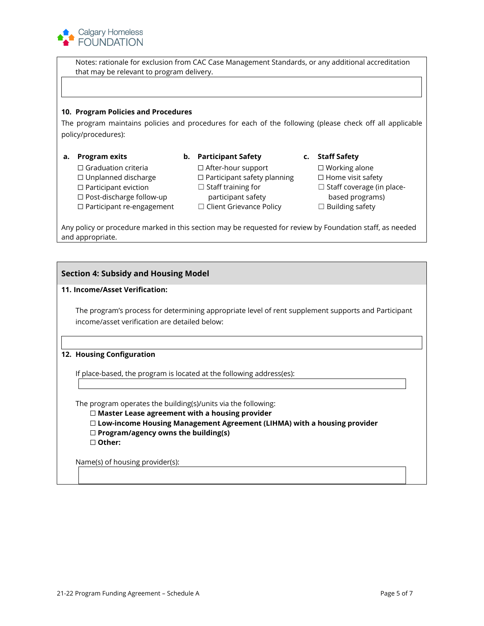

Notes: rationale for exclusion from CAC Case Management Standards, or any additional accreditation that may be relevant to program delivery.

#### **10. Program Policies and Procedures**

The program maintains policies and procedures for each of the following (please check off all applicable policy/procedures):

- **a. Program exits**
	- ☐ Graduation criteria ☐ Unplanned discharge ☐ Participant eviction ☐ Post-discharge follow-up
	-
	- ☐ Participant re-engagement
- **b. Participant Safety**
	- ☐ After-hour support ☐ Participant safety planning ☐ Home visit safety ☐ Staff training for participant safety
	- ☐ Client Grievance Policy
- **c. Staff Safety**
	- ☐ Working alone
	-
	- □ Staff coverage (in place-
	- based programs)
	- ☐ Building safety

Any policy or procedure marked in this section may be requested for review by Foundation staff, as needed and appropriate.

### **Section 4: Subsidy and Housing Model**

#### **11. Income/Asset Verification:**

The program's process for determining appropriate level of rent supplement supports and Participant income/asset verification are detailed below:

### **12. Housing Configuration**

If place-based, the program is located at the following address(es):

The program operates the building(s)/units via the following:

- ☐ **Master Lease agreement with a housing provider**
- ☐ **Low-income Housing Management Agreement (LIHMA) with a housing provider**
- ☐ **Program/agency owns the building(s)**

☐ **Other:**

Name(s) of housing provider(s):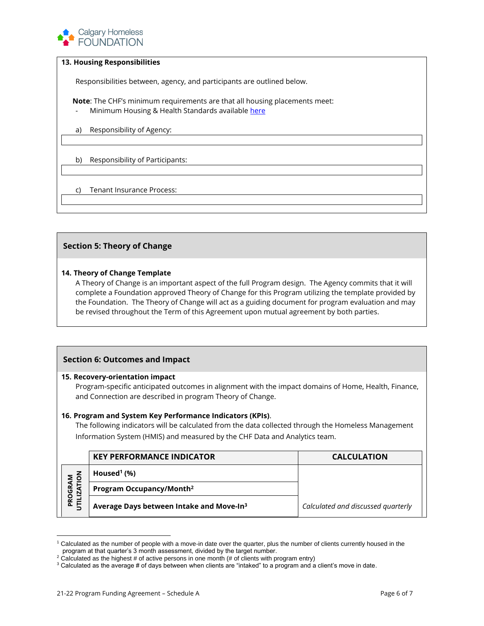

### **13. Housing Responsibilities**

Responsibilities between, agency, and participants are outlined below.

**Note**: The CHF's minimum requirements are that all housing placements meet:

- Minimum Housing & Health Standards availabl[e here](https://open.alberta.ca/dataset/2eac3fa0-43c5-4e4d-9a25-fd0a7bf96293/resource/4d3c2c51-43f1-4d85-b47c-cf92d1cad9c5/download/standards-housing-minimum.pdf)
- a) Responsibility of Agency:
- b) Responsibility of Participants:

c) Tenant Insurance Process:

## **Section 5: Theory of Change**

#### **14. Theory of Change Template**

A Theory of Change is an important aspect of the full Program design. The Agency commits that it will complete a Foundation approved Theory of Change for this Program utilizing the template provided by the Foundation. The Theory of Change will act as a guiding document for program evaluation and may be revised throughout the Term of this Agreement upon mutual agreement by both parties.

## **Section 6: Outcomes and Impact**

#### **15. Recovery-orientation impact**

Program-specific anticipated outcomes in alignment with the impact domains of Home, Health, Finance, and Connection are described in program Theory of Change.

#### **16. Program and System Key Performance Indicators (KPIs)**.

The following indicators will be calculated from the data collected through the Homeless Management Information System (HMIS) and measured by the CHF Data and Analytics team.

|               | <b>KEY PERFORMANCE INDICATOR</b>                     | <b>CALCULATION</b>                 |
|---------------|------------------------------------------------------|------------------------------------|
| $\frac{5}{5}$ | Housed <sup>1</sup> $(\%)$                           |                                    |
| ⊢<br>O        | Program Occupancy/Month <sup>2</sup>                 |                                    |
|               | Average Days between Intake and Move-In <sup>3</sup> | Calculated and discussed quarterly |

<sup>1</sup> Calculated as the number of people with a move-in date over the quarter, plus the number of clients currently housed in the program at that quarter's 3 month assessment, divided by the target number.

 $2$  Calculated as the highest # of active persons in one month (# of clients with program entry)

<sup>3</sup> Calculated as the average # of days between when clients are "intaked" to a program and a client's move in date.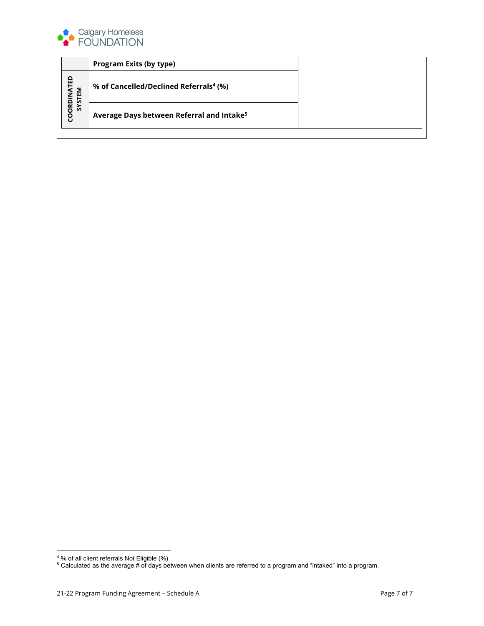

|                          | <b>Program Exits (by type)</b>                        |  |
|--------------------------|-------------------------------------------------------|--|
| <b>VATED</b><br>Σ        | % of Cancelled/Declined Referrals <sup>4</sup> (%)    |  |
| o<br>$\alpha$<br>ᇬ<br>ōo | Average Days between Referral and Intake <sup>5</sup> |  |

<sup>&</sup>lt;sup>4</sup>% of all client referrals Not Eligible (%)

 $^5$  Calculated as the average # of days between when clients are referred to a program and "intaked" into a program.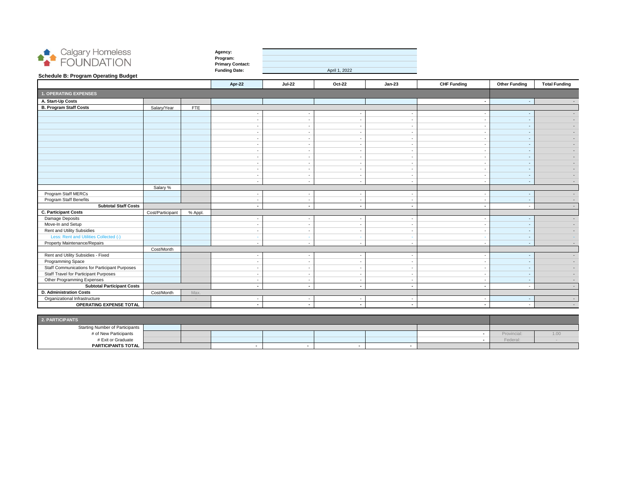

| Agency:                 |  |
|-------------------------|--|
| Program:                |  |
| <b>Primary Contact:</b> |  |
| <b>Funding Date:</b>    |  |

| Apr-22                   | $Jul-22$       | <b>Oct-22</b>  | $Jan-23$       | <b>CHF Funding</b>       | <b>Other Funding</b> | <b>Total Funding</b> |
|--------------------------|----------------|----------------|----------------|--------------------------|----------------------|----------------------|
|                          |                |                |                |                          |                      |                      |
|                          |                |                |                | $\blacksquare$           | $\blacksquare$       |                      |
|                          |                |                |                |                          |                      |                      |
| $\sim$                   | $\sim$         | ä,             | $\blacksquare$ | $\sim$                   |                      |                      |
|                          |                |                |                |                          |                      |                      |
|                          |                |                |                |                          |                      |                      |
|                          |                |                |                |                          |                      |                      |
|                          |                |                |                |                          |                      |                      |
| $\sim$                   | $\sim$         | ٠              | ۰              | $\sim$                   |                      |                      |
|                          |                |                |                |                          |                      |                      |
|                          |                |                |                |                          |                      |                      |
|                          |                |                |                |                          |                      |                      |
|                          | ۰              | ۰              | ۰              |                          |                      |                      |
| $\sim$                   | $\blacksquare$ | ÷.             | ÷.             | $\blacksquare$           | ٠                    |                      |
|                          |                |                |                |                          |                      |                      |
| $\sim$                   | $\blacksquare$ | $\blacksquare$ | -              | $\sim$                   | $\sim$               |                      |
| $\sim$                   | $\sim$         | $\sim$         |                | $\overline{\phantom{a}}$ | $\sim$               |                      |
| $\blacksquare$           | $\sim$         | $\blacksquare$ | $\blacksquare$ | $\blacksquare$           | $\sim$               |                      |
|                          |                |                |                |                          |                      |                      |
| $\overline{\phantom{a}}$ | $\blacksquare$ | ٠              | $\blacksquare$ | $\blacksquare$           |                      |                      |
|                          |                |                |                |                          |                      |                      |
|                          |                |                |                |                          |                      |                      |
|                          |                |                |                |                          |                      |                      |
| $\sim$                   | $\blacksquare$ | $\blacksquare$ | ۰              |                          | ٠                    |                      |
|                          |                |                |                |                          |                      |                      |
|                          | $\blacksquare$ |                |                |                          |                      |                      |
|                          |                |                |                |                          |                      |                      |
|                          |                |                |                |                          |                      |                      |
|                          |                |                |                |                          |                      |                      |
|                          | $\sim$         | $\blacksquare$ |                | $\sim$                   |                      |                      |
|                          |                |                |                |                          |                      |                      |
|                          |                |                |                |                          |                      |                      |
|                          | $\blacksquare$ | $\blacksquare$ | $\blacksquare$ | $\blacksquare$           |                      |                      |

| <b>Schedule B: Program Operating Budget</b>                         |                  |                |                          |                          |               |                          |                    |                          |                      |
|---------------------------------------------------------------------|------------------|----------------|--------------------------|--------------------------|---------------|--------------------------|--------------------|--------------------------|----------------------|
|                                                                     |                  |                | Apr-22                   | <b>Jul-22</b>            | <b>Oct-22</b> | <b>Jan-23</b>            | <b>CHF Funding</b> | <b>Other Funding</b>     | <b>Total Funding</b> |
| <b>1. OPERATING EXPENSES</b>                                        |                  |                |                          |                          |               |                          |                    |                          |                      |
| A. Start-Up Costs                                                   |                  |                |                          |                          |               |                          | $\blacksquare$     | $\sim$                   |                      |
| <b>B. Program Staff Costs</b>                                       | Salary/Year      | <b>FTE</b>     |                          |                          |               |                          |                    |                          |                      |
|                                                                     |                  |                |                          |                          |               |                          |                    |                          |                      |
|                                                                     |                  |                |                          |                          |               |                          |                    |                          |                      |
|                                                                     |                  |                |                          |                          |               |                          |                    |                          |                      |
|                                                                     |                  |                |                          |                          |               |                          |                    |                          |                      |
|                                                                     |                  |                |                          |                          |               |                          |                    |                          |                      |
|                                                                     |                  |                |                          |                          |               |                          |                    |                          |                      |
|                                                                     |                  |                |                          |                          |               |                          |                    |                          |                      |
|                                                                     |                  |                |                          |                          |               |                          |                    |                          |                      |
|                                                                     |                  |                |                          |                          |               |                          |                    |                          |                      |
|                                                                     |                  |                |                          |                          |               |                          |                    |                          |                      |
|                                                                     |                  |                | $\overline{\phantom{a}}$ | $\overline{\phantom{a}}$ |               |                          |                    |                          |                      |
|                                                                     |                  |                | $\sim$                   | $\blacksquare$           |               |                          |                    | <b>.</b>                 |                      |
|                                                                     | Salary %         |                |                          |                          |               |                          |                    |                          |                      |
| Program Staff MERCs                                                 |                  |                |                          | $\sim$                   |               | $\overline{\phantom{a}}$ | $\sim$             | <u>. на та</u>           |                      |
| <b>Program Staff Benefits</b>                                       |                  |                | $\overline{\phantom{a}}$ |                          |               |                          |                    | <u>. на та</u>           |                      |
| <b>Subtotal Staff Costs</b>                                         |                  |                |                          | $\blacksquare$           |               |                          | $\blacksquare$     |                          |                      |
| <b>C. Participant Costs</b>                                         | Cost/Participant | % Appl.        |                          |                          |               |                          |                    |                          |                      |
| Damage Deposits                                                     |                  |                |                          |                          |               |                          |                    | <u>. на та</u>           |                      |
| Move-In and Setup                                                   |                  |                |                          |                          |               |                          |                    |                          |                      |
| <b>Rent and Utility Subsidies</b>                                   |                  |                |                          |                          |               |                          |                    |                          |                      |
| Less: Rent and Utilities Collected (-)                              |                  |                |                          |                          |               |                          |                    | $\overline{\phantom{a}}$ |                      |
| <b>Property Maintenance/Repairs</b>                                 |                  |                | $\overline{\phantom{a}}$ | $\sim$                   |               |                          |                    |                          |                      |
|                                                                     | Cost/Month       |                |                          |                          |               |                          |                    |                          |                      |
| Rent and Utility Subsidies - Fixed                                  |                  |                |                          |                          |               |                          | ۰                  |                          |                      |
| Programming Space                                                   |                  |                |                          | $\overline{\phantom{a}}$ |               |                          |                    |                          |                      |
| <b>Staff Communications for Participant Purposes</b>                |                  |                |                          |                          |               |                          |                    |                          |                      |
| <b>Staff Travel for Participant Purposes</b>                        |                  |                |                          |                          |               |                          |                    | $\sim$                   |                      |
| <b>Other Programming Expenses</b>                                   |                  |                | $\sim$                   | $\sim$                   |               | $\sim$                   | $\sim$             | $\sim$ $ \sim$           |                      |
| <b>Subtotal Participant Costs</b><br><b>D. Administration Costs</b> |                  |                | $\sim$                   | $\blacksquare$           |               | $\sim$                   | $\sim$             | $\sim$                   |                      |
| Organizational Infrastructure                                       | Cost/Month       | Max.<br>$\sim$ |                          |                          |               |                          |                    |                          |                      |
| <b>OPERATING EXPENSE TOTAL</b>                                      |                  |                | $\blacksquare$           | $\sim$                   |               | $\sim$                   | $\sim$             | $\sim$                   |                      |
|                                                                     |                  |                |                          |                          |               |                          |                    |                          |                      |

| 2. PARTICIPANTS                 |  |  |  |  |  |  |             |  |
|---------------------------------|--|--|--|--|--|--|-------------|--|
| Starting Number of Participants |  |  |  |  |  |  |             |  |
| # of New Participants           |  |  |  |  |  |  | Provincial: |  |
| # Exit or Graduate              |  |  |  |  |  |  | Federal:    |  |
| PARTICIPANTS TOTAL              |  |  |  |  |  |  |             |  |

April 1, 2022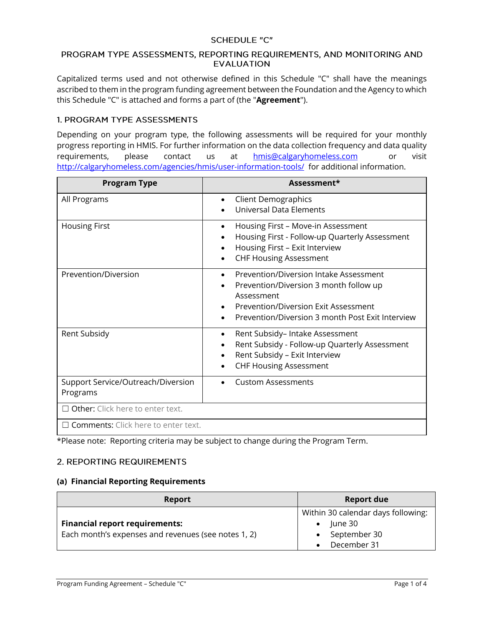## **SCHEDULE "C"**

## PROGRAM TYPE ASSESSMENTS, REPORTING REQUIREMENTS, AND MONITORING AND **EVALUATION**

Capitalized terms used and not otherwise defined in this Schedule "C" shall have the meanings ascribed to them in the program funding agreement between the Foundation and the Agency to which this Schedule "C" is attached and forms a part of (the "**Agreement**").

## 1. PROGRAM TYPE ASSESSMENTS

Depending on your program type, the following assessments will be required for your monthly progress reporting in HMIS. For further information on the data collection frequency and data quality requirements, please contact us at **[hmis@calgaryhomeless.com](mailto:hmis@calgaryhomeless.com)** or visit <http://calgaryhomeless.com/agencies/hmis/user-information-tools/> for additional information.

| <b>Program Type</b>                            | Assessment*                                                                                                                                                                                             |
|------------------------------------------------|---------------------------------------------------------------------------------------------------------------------------------------------------------------------------------------------------------|
| All Programs                                   | <b>Client Demographics</b><br>$\bullet$<br><b>Universal Data Elements</b>                                                                                                                               |
| <b>Housing First</b>                           | Housing First - Move-in Assessment<br>$\bullet$<br>Housing First - Follow-up Quarterly Assessment<br>$\bullet$<br>Housing First - Exit Interview<br><b>CHF Housing Assessment</b>                       |
| Prevention/Diversion                           | Prevention/Diversion Intake Assessment<br>$\bullet$<br>Prevention/Diversion 3 month follow up<br>Assessment<br>Prevention/Diversion Exit Assessment<br>Prevention/Diversion 3 month Post Exit Interview |
| Rent Subsidy                                   | Rent Subsidy- Intake Assessment<br>$\bullet$<br>Rent Subsidy - Follow-up Quarterly Assessment<br>Rent Subsidy - Exit Interview<br><b>CHF Housing Assessment</b>                                         |
| Support Service/Outreach/Diversion<br>Programs | <b>Custom Assessments</b>                                                                                                                                                                               |
| $\Box$ Other: Click here to enter text.        |                                                                                                                                                                                                         |
| $\Box$ Comments: Click here to enter text.     |                                                                                                                                                                                                         |

\*Please note:Reporting criteria may be subject to change during the Program Term.

# 2. REPORTING REQUIREMENTS

## **(a) Financial Reporting Requirements**

| Report                                                                                       | <b>Report due</b>                                                                         |
|----------------------------------------------------------------------------------------------|-------------------------------------------------------------------------------------------|
| <b>Financial report requirements:</b><br>Each month's expenses and revenues (see notes 1, 2) | Within 30 calendar days following:<br>June 30<br>$\bullet$<br>September 30<br>December 31 |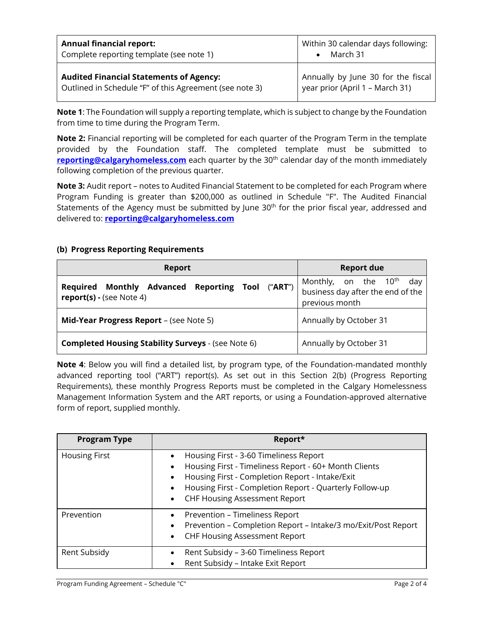| <b>Annual financial report:</b>                         | Within 30 calendar days following: |
|---------------------------------------------------------|------------------------------------|
| Complete reporting template (see note 1)                | March 31                           |
| <b>Audited Financial Statements of Agency:</b>          | Annually by June 30 for the fiscal |
| Outlined in Schedule "F" of this Agreement (see note 3) | year prior (April 1 - March 31)    |

**Note 1**: The Foundation will supply a reporting template, which is subject to change by the Foundation from time to time during the Program Term.

**Note 2:** Financial reporting will be completed for each quarter of the Program Term in the template provided by the Foundation staff. The completed template must be submitted to **[reporting@calgaryhomeless.com](mailto:reporting@calgaryhomeless.com)** each quarter by the 30<sup>th</sup> calendar day of the month immediately following completion of the previous quarter.

**Note 3:** Audit report – notes to Audited Financial Statement to be completed for each Program where Program Funding is greater than \$200,000 as outlined in Schedule "F". The Audited Financial Statements of the Agency must be submitted by June 30<sup>th</sup> for the prior fiscal year, addressed and delivered to: **[reporting@calgaryhomeless.com](mailto:reporting@calgaryhomeless.com)**

## **(b) Progress Reporting Requirements**

| <b>Report</b>                                                                                    | <b>Report due</b>                                                                              |  |  |
|--------------------------------------------------------------------------------------------------|------------------------------------------------------------------------------------------------|--|--|
| <b>Advanced Reporting Tool</b><br>("ART")<br><b>Required Monthly</b><br>report(s) - (see Note 4) | Monthly, on the 10 <sup>th</sup><br>day<br>business day after the end of the<br>previous month |  |  |
| Mid-Year Progress Report - (see Note 5)                                                          | Annually by October 31                                                                         |  |  |
| <b>Completed Housing Stability Surveys - (see Note 6)</b>                                        | Annually by October 31                                                                         |  |  |

**Note 4**: Below you will find a detailed list, by program type, of the Foundation-mandated monthly advanced reporting tool ("ART") report(s). As set out in this Section 2(b) (Progress Reporting Requirements), these monthly Progress Reports must be completed in the Calgary Homelessness Management Information System and the ART reports, or using a Foundation-approved alternative form of report, supplied monthly.

| <b>Program Type</b>  | Report*                                                                                                                                                                                                                                                                                   |
|----------------------|-------------------------------------------------------------------------------------------------------------------------------------------------------------------------------------------------------------------------------------------------------------------------------------------|
| <b>Housing First</b> | Housing First - 3-60 Timeliness Report<br>$\bullet$<br>Housing First - Timeliness Report - 60+ Month Clients<br>Housing First - Completion Report - Intake/Exit<br>٠<br>Housing First - Completion Report - Quarterly Follow-up<br>٠<br><b>CHF Housing Assessment Report</b><br>$\bullet$ |
| Prevention           | Prevention - Timeliness Report<br>$\bullet$<br>Prevention - Completion Report - Intake/3 mo/Exit/Post Report<br>٠<br><b>CHF Housing Assessment Report</b><br>٠                                                                                                                            |
| Rent Subsidy         | Rent Subsidy - 3-60 Timeliness Report<br>Rent Subsidy - Intake Exit Report                                                                                                                                                                                                                |

Program Funding Agreement – Schedule "C" Page 2 of 4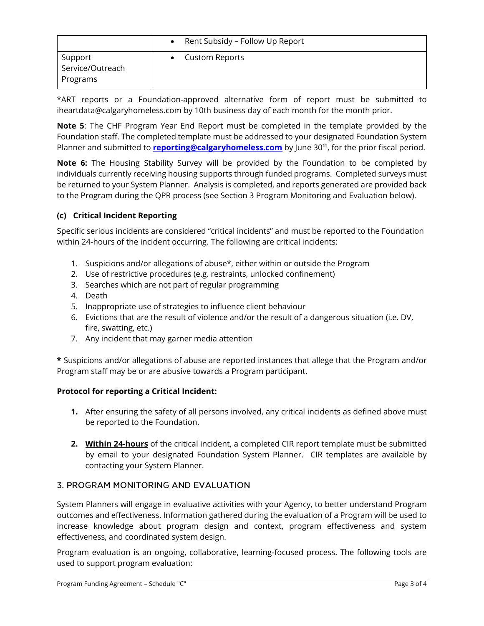|                                         | Rent Subsidy - Follow Up Report |
|-----------------------------------------|---------------------------------|
| Support<br>Service/Outreach<br>Programs | <b>Custom Reports</b>           |

\*ART reports or a Foundation-approved alternative form of report must be submitted to iheartdata@calgaryhomeless.com by 10th business day of each month for the month prior.

**Note 5**: The CHF Program Year End Report must be completed in the template provided by the Foundation staff. The completed template must be addressed to your designated Foundation System Planner and submitted to **[reporting@calgaryhomeless.com](mailto:reporting@calgaryhomeless.com)** by June 30<sup>th</sup>, for the prior fiscal period.

**Note 6:** The Housing Stability Survey will be provided by the Foundation to be completed by individuals currently receiving housing supports through funded programs. Completed surveys must be returned to your System Planner. Analysis is completed, and reports generated are provided back to the Program during the QPR process (see Section 3 Program Monitoring and Evaluation below).

# **(c) Critical Incident Reporting**

Specific serious incidents are considered "critical incidents" and must be reported to the Foundation within 24-hours of the incident occurring. The following are critical incidents:

- 1. Suspicions and/or allegations of abuse\*, either within or outside the Program
- 2. Use of restrictive procedures (e.g. restraints, unlocked confinement)
- 3. Searches which are not part of regular programming
- 4. Death
- 5. Inappropriate use of strategies to influence client behaviour
- 6. Evictions that are the result of violence and/or the result of a dangerous situation (i.e. DV, fire, swatting, etc.)
- 7. Any incident that may garner media attention

**\*** Suspicions and/or allegations of abuse are reported instances that allege that the Program and/or Program staff may be or are abusive towards a Program participant.

## **Protocol for reporting a Critical Incident:**

- **1.** After ensuring the safety of all persons involved, any critical incidents as defined above must be reported to the Foundation.
- **2. Within 24-hours** of the critical incident, a completed CIR report template must be submitted by email to your designated Foundation System Planner. CIR templates are available by contacting your System Planner.

## 3. PROGRAM MONITORING AND EVALUATION

System Planners will engage in evaluative activities with your Agency, to better understand Program outcomes and effectiveness. Information gathered during the evaluation of a Program will be used to increase knowledge about program design and context, program effectiveness and system effectiveness, and coordinated system design.

Program evaluation is an ongoing, collaborative, learning-focused process. The following tools are used to support program evaluation: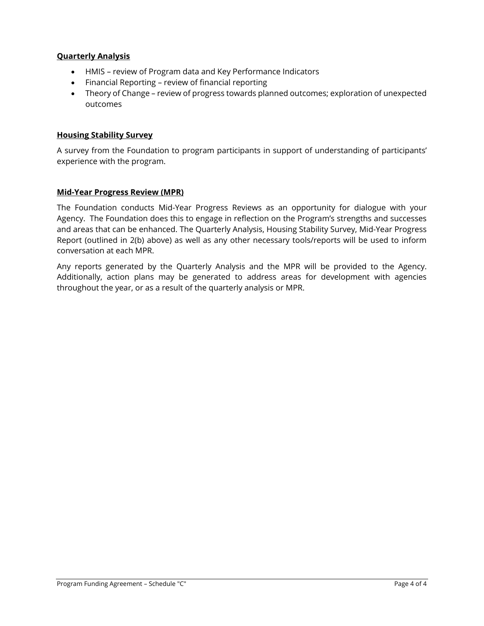## **Quarterly Analysis**

- HMIS review of Program data and Key Performance Indicators
- Financial Reporting review of financial reporting
- Theory of Change review of progress towards planned outcomes; exploration of unexpected outcomes

## **Housing Stability Survey**

A survey from the Foundation to program participants in support of understanding of participants' experience with the program.

## **Mid-Year Progress Review (MPR)**

The Foundation conducts Mid-Year Progress Reviews as an opportunity for dialogue with your Agency. The Foundation does this to engage in reflection on the Program's strengths and successes and areas that can be enhanced. The Quarterly Analysis, Housing Stability Survey, Mid-Year Progress Report (outlined in 2(b) above) as well as any other necessary tools/reports will be used to inform conversation at each MPR.

Any reports generated by the Quarterly Analysis and the MPR will be provided to the Agency. Additionally, action plans may be generated to address areas for development with agencies throughout the year, or as a result of the quarterly analysis or MPR.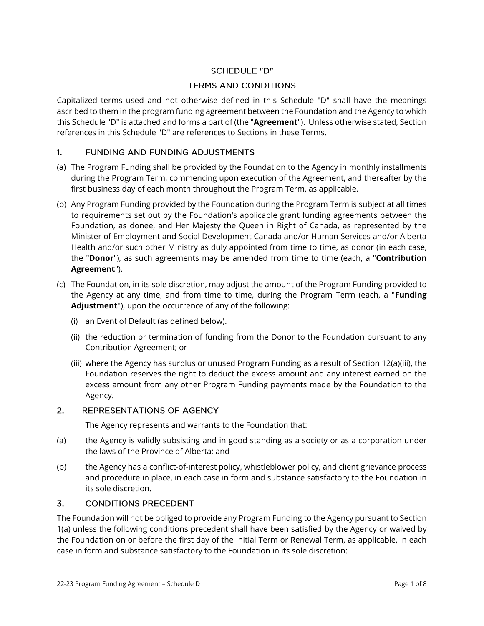# **SCHEDULE "D"**

## **TERMS AND CONDITIONS**

Capitalized terms used and not otherwise defined in this Schedule "D" shall have the meanings ascribed to them in the program funding agreement between the Foundation and the Agency to which this Schedule "D" is attached and forms a part of (the "**Agreement**"). Unless otherwise stated, Section references in this Schedule "D" are references to Sections in these Terms.

#### $1<sup>1</sup>$ **FUNDING AND FUNDING ADJUSTMENTS**

- (a) The Program Funding shall be provided by the Foundation to the Agency in monthly installments during the Program Term, commencing upon execution of the Agreement, and thereafter by the first business day of each month throughout the Program Term, as applicable.
- (b) Any Program Funding provided by the Foundation during the Program Term is subject at all times to requirements set out by the Foundation's applicable grant funding agreements between the Foundation, as donee, and Her Majesty the Queen in Right of Canada, as represented by the Minister of Employment and Social Development Canada and/or Human Services and/or Alberta Health and/or such other Ministry as duly appointed from time to time, as donor (in each case, the "**Donor**"), as such agreements may be amended from time to time (each, a "**Contribution Agreement**").
- (c) The Foundation, in its sole discretion, may adjust the amount of the Program Funding provided to the Agency at any time, and from time to time, during the Program Term (each, a "**Funding Adjustment**"), upon the occurrence of any of the following:
	- (i) an Event of Default (as defined below).
	- (ii) the reduction or termination of funding from the Donor to the Foundation pursuant to any Contribution Agreement; or
	- (iii) where the Agency has surplus or unused Program Funding as a result of Section 12(a)(iii), the Foundation reserves the right to deduct the excess amount and any interest earned on the excess amount from any other Program Funding payments made by the Foundation to the Agency.

#### $2.$ REPRESENTATIONS OF AGENCY

The Agency represents and warrants to the Foundation that:

- (a) the Agency is validly subsisting and in good standing as a society or as a corporation under the laws of the Province of Alberta; and
- (b) the Agency has a conflict-of-interest policy, whistleblower policy, and client grievance process and procedure in place, in each case in form and substance satisfactory to the Foundation in its sole discretion.

#### $\overline{3}$ . **CONDITIONS PRECEDENT**

The Foundation will not be obliged to provide any Program Funding to the Agency pursuant to Section 1(a) unless the following conditions precedent shall have been satisfied by the Agency or waived by the Foundation on or before the first day of the Initial Term or Renewal Term, as applicable, in each case in form and substance satisfactory to the Foundation in its sole discretion: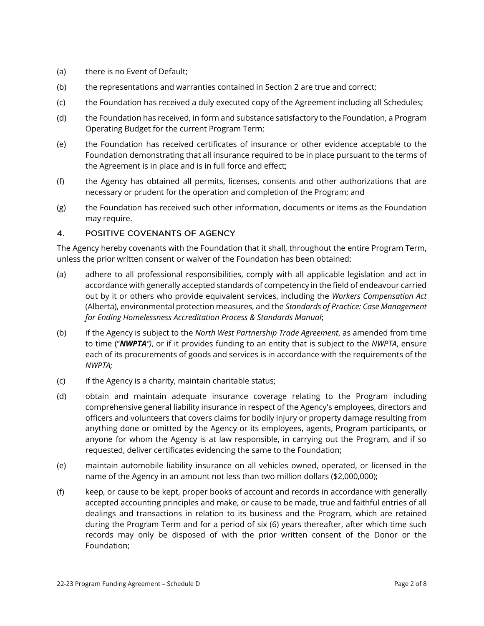- (a) there is no Event of Default;
- (b) the representations and warranties contained in Section 2 are true and correct;
- (c) the Foundation has received a duly executed copy of the Agreement including all Schedules;
- (d) the Foundation has received, in form and substance satisfactory to the Foundation, a Program Operating Budget for the current Program Term;
- (e) the Foundation has received certificates of insurance or other evidence acceptable to the Foundation demonstrating that all insurance required to be in place pursuant to the terms of the Agreement is in place and is in full force and effect;
- (f) the Agency has obtained all permits, licenses, consents and other authorizations that are necessary or prudent for the operation and completion of the Program; and
- (g) the Foundation has received such other information, documents or items as the Foundation may require.

#### $\mathbf{4}$ . POSITIVE COVENANTS OF AGENCY

The Agency hereby covenants with the Foundation that it shall, throughout the entire Program Term, unless the prior written consent or waiver of the Foundation has been obtained:

- (a) adhere to all professional responsibilities, comply with all applicable legislation and act in accordance with generally accepted standards of competency in the field of endeavour carried out by it or others who provide equivalent services, including the *Workers Compensation Act* (Alberta), environmental protection measures, and the *Standards of Practice: Case Management for Ending Homelessness Accreditation Process & Standards Manual*;
- (b) if the Agency is subject to the *North West Partnership Trade Agreement*, as amended from time to time ("*NWPTA")*, or if it provides funding to an entity that is subject to the *NWPTA*, ensure each of its procurements of goods and services is in accordance with the requirements of the *NWPTA;*
- (c) if the Agency is a charity, maintain charitable status;
- (d) obtain and maintain adequate insurance coverage relating to the Program including comprehensive general liability insurance in respect of the Agency's employees, directors and officers and volunteers that covers claims for bodily injury or property damage resulting from anything done or omitted by the Agency or its employees, agents, Program participants, or anyone for whom the Agency is at law responsible, in carrying out the Program, and if so requested, deliver certificates evidencing the same to the Foundation;
- (e) maintain automobile liability insurance on all vehicles owned, operated, or licensed in the name of the Agency in an amount not less than two million dollars (\$2,000,000);
- (f) keep, or cause to be kept, proper books of account and records in accordance with generally accepted accounting principles and make, or cause to be made, true and faithful entries of all dealings and transactions in relation to its business and the Program, which are retained during the Program Term and for a period of six (6) years thereafter, after which time such records may only be disposed of with the prior written consent of the Donor or the Foundation;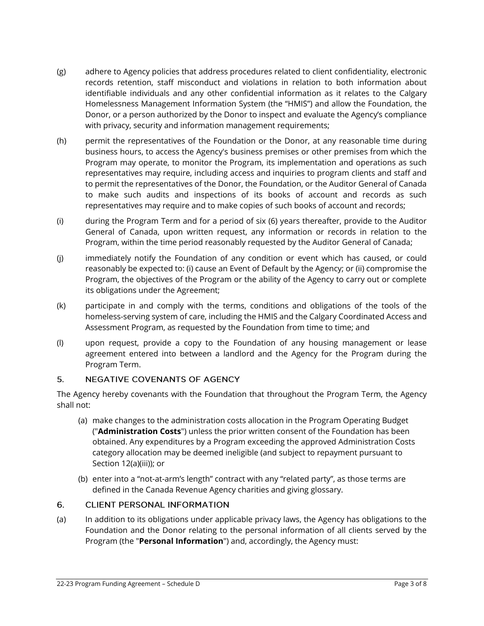- (g) adhere to Agency policies that address procedures related to client confidentiality, electronic records retention, staff misconduct and violations in relation to both information about identifiable individuals and any other confidential information as it relates to the Calgary Homelessness Management Information System (the "HMIS") and allow the Foundation, the Donor, or a person authorized by the Donor to inspect and evaluate the Agency's compliance with privacy, security and information management requirements;
- (h) permit the representatives of the Foundation or the Donor, at any reasonable time during business hours, to access the Agency's business premises or other premises from which the Program may operate, to monitor the Program, its implementation and operations as such representatives may require, including access and inquiries to program clients and staff and to permit the representatives of the Donor, the Foundation, or the Auditor General of Canada to make such audits and inspections of its books of account and records as such representatives may require and to make copies of such books of account and records;
- (i) during the Program Term and for a period of six (6) years thereafter, provide to the Auditor General of Canada, upon written request, any information or records in relation to the Program, within the time period reasonably requested by the Auditor General of Canada;
- (j) immediately notify the Foundation of any condition or event which has caused, or could reasonably be expected to: (i) cause an Event of Default by the Agency; or (ii) compromise the Program, the objectives of the Program or the ability of the Agency to carry out or complete its obligations under the Agreement;
- (k) participate in and comply with the terms, conditions and obligations of the tools of the homeless-serving system of care, including the HMIS and the Calgary Coordinated Access and Assessment Program, as requested by the Foundation from time to time; and
- (l) upon request, provide a copy to the Foundation of any housing management or lease agreement entered into between a landlord and the Agency for the Program during the Program Term.

#### 5. **NEGATIVE COVENANTS OF AGENCY**

The Agency hereby covenants with the Foundation that throughout the Program Term, the Agency shall not:

- (a) make changes to the administration costs allocation in the Program Operating Budget ("**Administration Costs**") unless the prior written consent of the Foundation has been obtained. Any expenditures by a Program exceeding the approved Administration Costs category allocation may be deemed ineligible (and subject to repayment pursuant to Section 12(a)(iii)); or
- (b) enter into a "not-at-arm's length" contract with any "related party", as those terms are defined in the Canada Revenue Agency charities and giving glossary.

#### 6. **CLIENT PERSONAL INFORMATION**

(a) In addition to its obligations under applicable privacy laws, the Agency has obligations to the Foundation and the Donor relating to the personal information of all clients served by the Program (the "**Personal Information**") and, accordingly, the Agency must: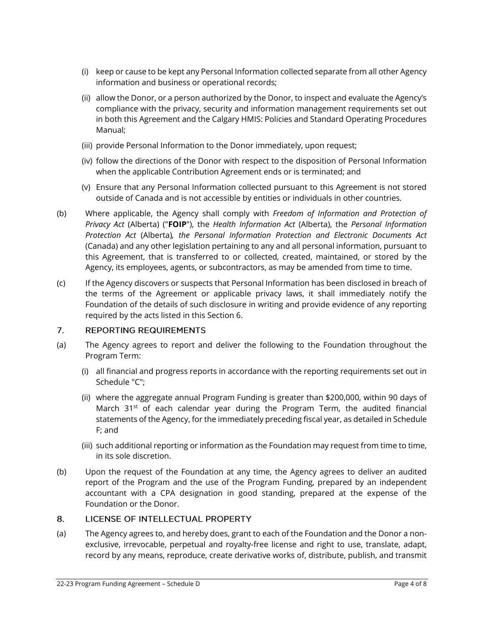- (i) keep or cause to be kept any Personal Information collected separate from all other Agency information and business or operational records;
- (ii) allow the Donor, or a person authorized by the Donor, to inspect and evaluate the Agency's compliance with the privacy, security and information management requirements set out in both this Agreement and the Calgary HMIS: Policies and Standard Operating Procedures Manual;
- (iii) provide Personal Information to the Donor immediately, upon request;
- (iv) follow the directions of the Donor with respect to the disposition of Personal Information when the applicable Contribution Agreement ends or is terminated; and
- (v) Ensure that any Personal Information collected pursuant to this Agreement is not stored outside of Canada and is not accessible by entities or individuals in other countries*.*
- (b) Where applicable, the Agency shall comply with *Freedom of Information and Protection of Privacy Act* (Alberta) ("**FOIP**"), the *Health Information Act* (Alberta), the *Personal Information Protection Act* (Alberta)*, the Personal Information Protection and Electronic Documents Act*  (Canada) and any other legislation pertaining to any and all personal information, pursuant to this Agreement, that is transferred to or collected, created, maintained, or stored by the Agency, its employees, agents, or subcontractors, as may be amended from time to time.
- (c) If the Agency discovers or suspects that Personal Information has been disclosed in breach of the terms of the Agreement or applicable privacy laws, it shall immediately notify the Foundation of the details of such disclosure in writing and provide evidence of any reporting required by the acts listed in this Section 6.

#### $7.$ **REPORTING REQUIREMENTS**

- (a) The Agency agrees to report and deliver the following to the Foundation throughout the Program Term:
	- (i) all financial and progress reports in accordance with the reporting requirements set out in Schedule "C";
	- (ii) where the aggregate annual Program Funding is greater than \$200,000, within 90 days of March 31<sup>st</sup> of each calendar year during the Program Term, the audited financial statements of the Agency, for the immediately preceding fiscal year, as detailed in Schedule F; and
	- (iii) such additional reporting or information as the Foundation may request from time to time, in its sole discretion.
- (b) Upon the request of the Foundation at any time, the Agency agrees to deliver an audited report of the Program and the use of the Program Funding, prepared by an independent accountant with a CPA designation in good standing, prepared at the expense of the Foundation or the Donor.

#### LICENSE OF INTELLECTUAL PROPERTY 8.

(a) The Agency agrees to, and hereby does, grant to each of the Foundation and the Donor a nonexclusive, irrevocable, perpetual and royalty-free license and right to use, translate, adapt, record by any means, reproduce, create derivative works of, distribute, publish, and transmit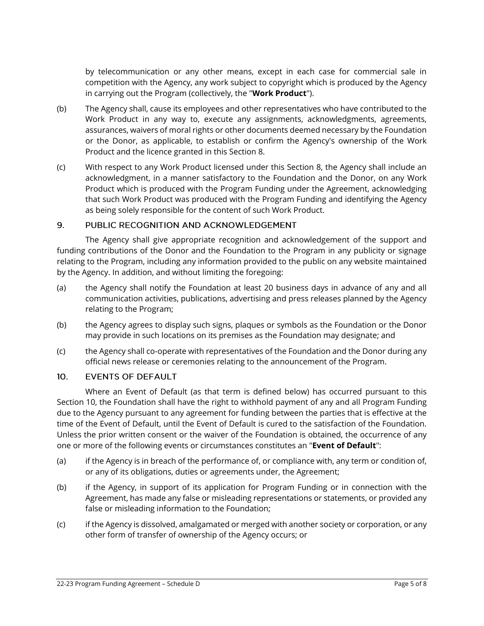by telecommunication or any other means, except in each case for commercial sale in competition with the Agency, any work subject to copyright which is produced by the Agency in carrying out the Program (collectively, the "**Work Product**").

- (b) The Agency shall, cause its employees and other representatives who have contributed to the Work Product in any way to, execute any assignments, acknowledgments, agreements, assurances, waivers of moral rights or other documents deemed necessary by the Foundation or the Donor, as applicable, to establish or confirm the Agency's ownership of the Work Product and the licence granted in this Section 8.
- (c) With respect to any Work Product licensed under this Section 8, the Agency shall include an acknowledgment, in a manner satisfactory to the Foundation and the Donor, on any Work Product which is produced with the Program Funding under the Agreement, acknowledging that such Work Product was produced with the Program Funding and identifying the Agency as being solely responsible for the content of such Work Product.

#### 9. PUBLIC RECOGNITION AND ACKNOWLEDGEMENT

The Agency shall give appropriate recognition and acknowledgement of the support and funding contributions of the Donor and the Foundation to the Program in any publicity or signage relating to the Program, including any information provided to the public on any website maintained by the Agency. In addition, and without limiting the foregoing:

- (a) the Agency shall notify the Foundation at least 20 business days in advance of any and all communication activities, publications, advertising and press releases planned by the Agency relating to the Program;
- (b) the Agency agrees to display such signs, plaques or symbols as the Foundation or the Donor may provide in such locations on its premises as the Foundation may designate; and
- (c) the Agency shall co-operate with representatives of the Foundation and the Donor during any official news release or ceremonies relating to the announcement of the Program.

#### $10.$ **EVENTS OF DEFAULT**

Where an Event of Default (as that term is defined below) has occurred pursuant to this Section 10, the Foundation shall have the right to withhold payment of any and all Program Funding due to the Agency pursuant to any agreement for funding between the parties that is effective at the time of the Event of Default, until the Event of Default is cured to the satisfaction of the Foundation. Unless the prior written consent or the waiver of the Foundation is obtained, the occurrence of any one or more of the following events or circumstances constitutes an "**Event of Default**":

- (a) if the Agency is in breach of the performance of, or compliance with, any term or condition of, or any of its obligations, duties or agreements under, the Agreement;
- (b) if the Agency, in support of its application for Program Funding or in connection with the Agreement, has made any false or misleading representations or statements, or provided any false or misleading information to the Foundation;
- (c) if the Agency is dissolved, amalgamated or merged with another society or corporation, or any other form of transfer of ownership of the Agency occurs; or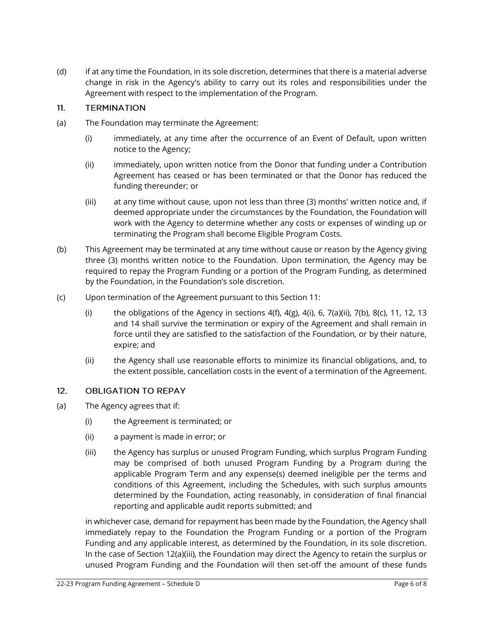(d) if at any time the Foundation, in its sole discretion, determines that there is a material adverse change in risk in the Agency's ability to carry out its roles and responsibilities under the Agreement with respect to the implementation of the Program.

#### $11.$ **TERMINATION**

- (a) The Foundation may terminate the Agreement:
	- (i) immediately, at any time after the occurrence of an Event of Default, upon written notice to the Agency;
	- (ii) immediately, upon written notice from the Donor that funding under a Contribution Agreement has ceased or has been terminated or that the Donor has reduced the funding thereunder; or
	- (iii) at any time without cause, upon not less than three (3) months' written notice and, if deemed appropriate under the circumstances by the Foundation, the Foundation will work with the Agency to determine whether any costs or expenses of winding up or terminating the Program shall become Eligible Program Costs.
- (b) This Agreement may be terminated at any time without cause or reason by the Agency giving three (3) months written notice to the Foundation. Upon termination, the Agency may be required to repay the Program Funding or a portion of the Program Funding, as determined by the Foundation, in the Foundation's sole discretion.
- (c) Upon termination of the Agreement pursuant to this Section 11:
	- (i) the obligations of the Agency in sections  $4(f)$ ,  $4(g)$ ,  $4(i)$ ,  $6$ ,  $7(a)(ii)$ ,  $7(b)$ ,  $8(c)$ , 11, 12, 13 and 14 shall survive the termination or expiry of the Agreement and shall remain in force until they are satisfied to the satisfaction of the Foundation, or by their nature, expire; and
	- (ii) the Agency shall use reasonable efforts to minimize its financial obligations, and, to the extent possible, cancellation costs in the event of a termination of the Agreement.

#### $12.$ **OBLIGATION TO REPAY**

- (a) The Agency agrees that if:
	- (i) the Agreement is terminated; or
	- (ii) a payment is made in error; or
	- (iii) the Agency has surplus or unused Program Funding, which surplus Program Funding may be comprised of both unused Program Funding by a Program during the applicable Program Term and any expense(s) deemed ineligible per the terms and conditions of this Agreement, including the Schedules, with such surplus amounts determined by the Foundation, acting reasonably, in consideration of final financial reporting and applicable audit reports submitted; and

in whichever case, demand for repayment has been made by the Foundation, the Agency shall immediately repay to the Foundation the Program Funding or a portion of the Program Funding and any applicable interest, as determined by the Foundation, in its sole discretion. In the case of Section 12(a)(iii), the Foundation may direct the Agency to retain the surplus or unused Program Funding and the Foundation will then set-off the amount of these funds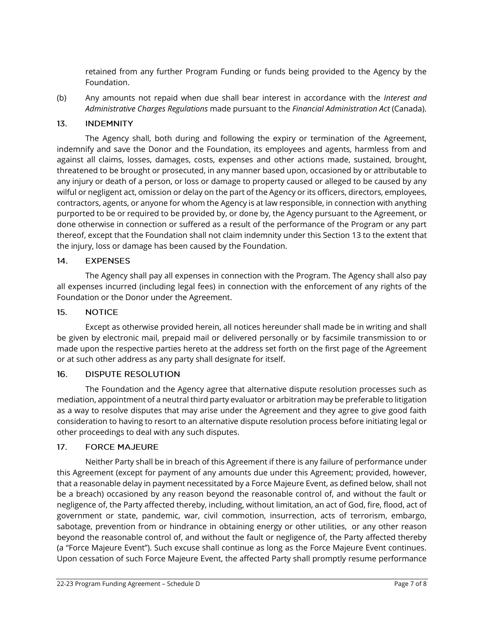retained from any further Program Funding or funds being provided to the Agency by the Foundation.

(b) Any amounts not repaid when due shall bear interest in accordance with the *Interest and Administrative Charges Regulations* made pursuant to the *Financial Administration Act* (Canada).

#### $13.$ **INDEMNITY**

The Agency shall, both during and following the expiry or termination of the Agreement, indemnify and save the Donor and the Foundation, its employees and agents, harmless from and against all claims, losses, damages, costs, expenses and other actions made, sustained, brought, threatened to be brought or prosecuted, in any manner based upon, occasioned by or attributable to any injury or death of a person, or loss or damage to property caused or alleged to be caused by any wilful or negligent act, omission or delay on the part of the Agency or its officers, directors, employees, contractors, agents, or anyone for whom the Agency is at law responsible, in connection with anything purported to be or required to be provided by, or done by, the Agency pursuant to the Agreement, or done otherwise in connection or suffered as a result of the performance of the Program or any part thereof, except that the Foundation shall not claim indemnity under this Section 13 to the extent that the injury, loss or damage has been caused by the Foundation.

#### $14.$ **EXPENSES**

The Agency shall pay all expenses in connection with the Program. The Agency shall also pay all expenses incurred (including legal fees) in connection with the enforcement of any rights of the Foundation or the Donor under the Agreement.

#### $15.$ **NOTICE**

Except as otherwise provided herein, all notices hereunder shall made be in writing and shall be given by electronic mail, prepaid mail or delivered personally or by facsimile transmission to or made upon the respective parties hereto at the address set forth on the first page of the Agreement or at such other address as any party shall designate for itself.

#### $16.$ **DISPUTE RESOLUTION**

The Foundation and the Agency agree that alternative dispute resolution processes such as mediation, appointment of a neutral third party evaluator or arbitration may be preferable to litigation as a way to resolve disputes that may arise under the Agreement and they agree to give good faith consideration to having to resort to an alternative dispute resolution process before initiating legal or other proceedings to deal with any such disputes.

#### $17<sub>1</sub>$ **FORCE MAJEURE**

Neither Party shall be in breach of this Agreement if there is any failure of performance under this Agreement (except for payment of any amounts due under this Agreement; provided, however, that a reasonable delay in payment necessitated by a Force Majeure Event, as defined below, shall not be a breach) occasioned by any reason beyond the reasonable control of, and without the fault or negligence of, the Party affected thereby, including, without limitation, an act of God, fire, flood, act of government or state, pandemic, war, civil commotion, insurrection, acts of terrorism, embargo, sabotage, prevention from or hindrance in obtaining energy or other utilities, or any other reason beyond the reasonable control of, and without the fault or negligence of, the Party affected thereby (a "Force Majeure Event"). Such excuse shall continue as long as the Force Majeure Event continues. Upon cessation of such Force Majeure Event, the affected Party shall promptly resume performance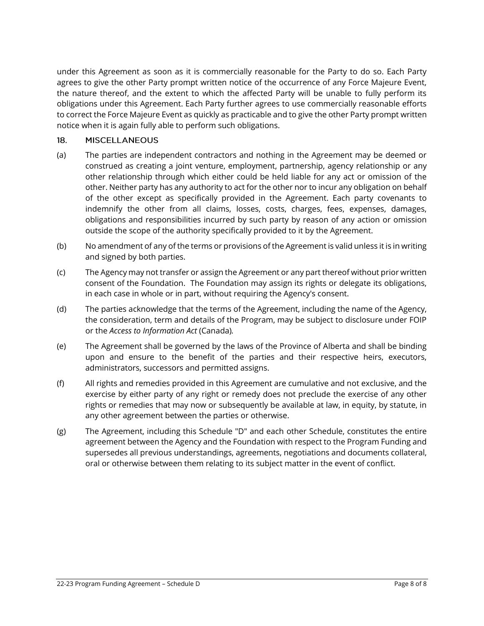under this Agreement as soon as it is commercially reasonable for the Party to do so. Each Party agrees to give the other Party prompt written notice of the occurrence of any Force Majeure Event, the nature thereof, and the extent to which the affected Party will be unable to fully perform its obligations under this Agreement. Each Party further agrees to use commercially reasonable efforts to correct the Force Majeure Event as quickly as practicable and to give the other Party prompt written notice when it is again fully able to perform such obligations.

#### 18. **MISCELLANEOUS**

- (a) The parties are independent contractors and nothing in the Agreement may be deemed or construed as creating a joint venture, employment, partnership, agency relationship or any other relationship through which either could be held liable for any act or omission of the other. Neither party has any authority to act for the other nor to incur any obligation on behalf of the other except as specifically provided in the Agreement. Each party covenants to indemnify the other from all claims, losses, costs, charges, fees, expenses, damages, obligations and responsibilities incurred by such party by reason of any action or omission outside the scope of the authority specifically provided to it by the Agreement.
- (b) No amendment of any of the terms or provisions of the Agreement is valid unless it is in writing and signed by both parties.
- (c) The Agency may not transfer or assign the Agreement or any part thereof without prior written consent of the Foundation. The Foundation may assign its rights or delegate its obligations, in each case in whole or in part, without requiring the Agency's consent.
- (d) The parties acknowledge that the terms of the Agreement, including the name of the Agency, the consideration, term and details of the Program, may be subject to disclosure under FOIP or the *Access to Information Act* (Canada)*.*
- (e) The Agreement shall be governed by the laws of the Province of Alberta and shall be binding upon and ensure to the benefit of the parties and their respective heirs, executors, administrators, successors and permitted assigns.
- (f) All rights and remedies provided in this Agreement are cumulative and not exclusive, and the exercise by either party of any right or remedy does not preclude the exercise of any other rights or remedies that may now or subsequently be available at law, in equity, by statute, in any other agreement between the parties or otherwise.
- (g) The Agreement, including this Schedule "D" and each other Schedule, constitutes the entire agreement between the Agency and the Foundation with respect to the Program Funding and supersedes all previous understandings, agreements, negotiations and documents collateral, oral or otherwise between them relating to its subject matter in the event of conflict.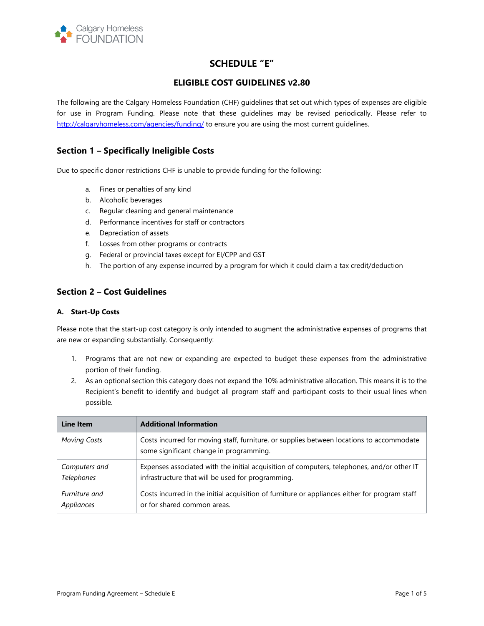

# **SCHEDULE "E"**

## **ELIGIBLE COST GUIDELINES V2.80**

The following are the Calgary Homeless Foundation (CHF) guidelines that set out which types of expenses are eligible for use in Program Funding. Please note that these guidelines may be revised periodically. Please refer to <http://calgaryhomeless.com/agencies/funding/> to ensure you are using the most current guidelines.

## **Section 1 – Specifically Ineligible Costs**

Due to specific donor restrictions CHF is unable to provide funding for the following:

- a. Fines or penalties of any kind
- b. Alcoholic beverages
- c. Regular cleaning and general maintenance
- d. Performance incentives for staff or contractors
- e. Depreciation of assets
- f. Losses from other programs or contracts
- g. Federal or provincial taxes except for EI/CPP and GST
- h. The portion of any expense incurred by a program for which it could claim a tax credit/deduction

## **Section 2 – Cost Guidelines**

#### **A. Start-Up Costs**

Please note that the start-up cost category is only intended to augment the administrative expenses of programs that are new or expanding substantially. Consequently:

- 1. Programs that are not new or expanding are expected to budget these expenses from the administrative portion of their funding.
- 2. As an optional section this category does not expand the 10% administrative allocation. This means it is to the Recipient's benefit to identify and budget all program staff and participant costs to their usual lines when possible.

| Line Item           | <b>Additional Information</b>                                                                                                       |
|---------------------|-------------------------------------------------------------------------------------------------------------------------------------|
| <b>Moving Costs</b> | Costs incurred for moving staff, furniture, or supplies between locations to accommodate<br>some significant change in programming. |
| Computers and       | Expenses associated with the initial acquisition of computers, telephones, and/or other IT                                          |
| Telephones          | infrastructure that will be used for programming.                                                                                   |
| Furniture and       | Costs incurred in the initial acquisition of furniture or appliances either for program staff                                       |
| Appliances          | or for shared common areas.                                                                                                         |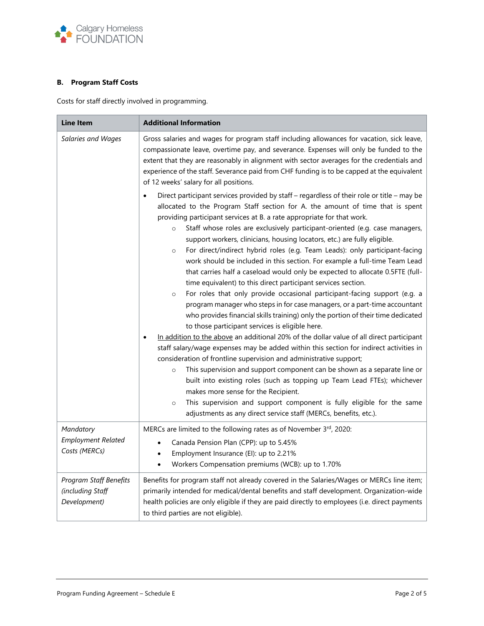

## **B. Program Staff Costs**

Costs for staff directly involved in programming.

| <b>Line Item</b>                                           | <b>Additional Information</b>                                                                                                                                                                                                                                                                                                                                                                                                                                                                                                                                                                                                                                                                                                                                                                                                                                                                                                                                                                                                                                                                                                                                                                                                                                                                                                                                                                                                                                                                                                                                                                                                                                                                     |
|------------------------------------------------------------|---------------------------------------------------------------------------------------------------------------------------------------------------------------------------------------------------------------------------------------------------------------------------------------------------------------------------------------------------------------------------------------------------------------------------------------------------------------------------------------------------------------------------------------------------------------------------------------------------------------------------------------------------------------------------------------------------------------------------------------------------------------------------------------------------------------------------------------------------------------------------------------------------------------------------------------------------------------------------------------------------------------------------------------------------------------------------------------------------------------------------------------------------------------------------------------------------------------------------------------------------------------------------------------------------------------------------------------------------------------------------------------------------------------------------------------------------------------------------------------------------------------------------------------------------------------------------------------------------------------------------------------------------------------------------------------------------|
| Salaries and Wages                                         | Gross salaries and wages for program staff including allowances for vacation, sick leave,<br>compassionate leave, overtime pay, and severance. Expenses will only be funded to the<br>extent that they are reasonably in alignment with sector averages for the credentials and<br>experience of the staff. Severance paid from CHF funding is to be capped at the equivalent<br>of 12 weeks' salary for all positions.                                                                                                                                                                                                                                                                                                                                                                                                                                                                                                                                                                                                                                                                                                                                                                                                                                                                                                                                                                                                                                                                                                                                                                                                                                                                           |
|                                                            | Direct participant services provided by staff - regardless of their role or title - may be<br>allocated to the Program Staff section for A. the amount of time that is spent<br>providing participant services at B. a rate appropriate for that work.<br>Staff whose roles are exclusively participant-oriented (e.g. case managers,<br>$\circ$<br>support workers, clinicians, housing locators, etc.) are fully eligible.<br>For direct/indirect hybrid roles (e.g. Team Leads): only participant-facing<br>$\circ$<br>work should be included in this section. For example a full-time Team Lead<br>that carries half a caseload would only be expected to allocate 0.5FTE (full-<br>time equivalent) to this direct participant services section.<br>For roles that only provide occasional participant-facing support (e.g. a<br>$\circ$<br>program manager who steps in for case managers, or a part-time accountant<br>who provides financial skills training) only the portion of their time dedicated<br>to those participant services is eligible here.<br>In addition to the above an additional 20% of the dollar value of all direct participant<br>staff salary/wage expenses may be added within this section for indirect activities in<br>consideration of frontline supervision and administrative support;<br>This supervision and support component can be shown as a separate line or<br>$\circ$<br>built into existing roles (such as topping up Team Lead FTEs); whichever<br>makes more sense for the Recipient.<br>This supervision and support component is fully eligible for the same<br>$\circ$<br>adjustments as any direct service staff (MERCs, benefits, etc.). |
| Mandatory<br><b>Employment Related</b><br>Costs (MERCs)    | MERCs are limited to the following rates as of November 3rd, 2020:<br>Canada Pension Plan (CPP): up to 5.45%<br>Employment Insurance (EI): up to 2.21%<br>Workers Compensation premiums (WCB): up to 1.70%                                                                                                                                                                                                                                                                                                                                                                                                                                                                                                                                                                                                                                                                                                                                                                                                                                                                                                                                                                                                                                                                                                                                                                                                                                                                                                                                                                                                                                                                                        |
| Program Staff Benefits<br>(including Staff<br>Development) | Benefits for program staff not already covered in the Salaries/Wages or MERCs line item;<br>primarily intended for medical/dental benefits and staff development. Organization-wide<br>health policies are only eligible if they are paid directly to employees (i.e. direct payments<br>to third parties are not eligible).                                                                                                                                                                                                                                                                                                                                                                                                                                                                                                                                                                                                                                                                                                                                                                                                                                                                                                                                                                                                                                                                                                                                                                                                                                                                                                                                                                      |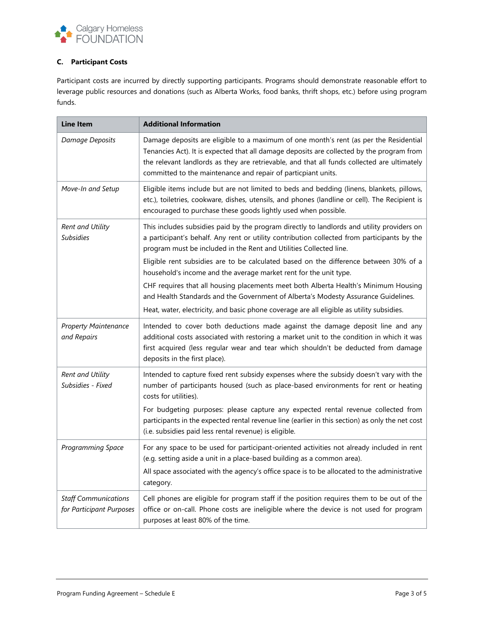

## **C. Participant Costs**

Participant costs are incurred by directly supporting participants. Programs should demonstrate reasonable effort to leverage public resources and donations (such as Alberta Works, food banks, thrift shops, etc.) before using program funds.

| <b>Line Item</b>                                        | <b>Additional Information</b>                                                                                                                                                                                                                                                                                                                      |
|---------------------------------------------------------|----------------------------------------------------------------------------------------------------------------------------------------------------------------------------------------------------------------------------------------------------------------------------------------------------------------------------------------------------|
| Damage Deposits                                         | Damage deposits are eligible to a maximum of one month's rent (as per the Residential<br>Tenancies Act). It is expected that all damage deposits are collected by the program from<br>the relevant landlords as they are retrievable, and that all funds collected are ultimately<br>committed to the maintenance and repair of particpiant units. |
| Move-In and Setup                                       | Eligible items include but are not limited to beds and bedding (linens, blankets, pillows,<br>etc.), toiletries, cookware, dishes, utensils, and phones (landline or cell). The Recipient is<br>encouraged to purchase these goods lightly used when possible.                                                                                     |
| Rent and Utility<br><b>Subsidies</b>                    | This includes subsidies paid by the program directly to landlords and utility providers on<br>a participant's behalf. Any rent or utility contribution collected from participants by the<br>program must be included in the Rent and Utilities Collected line.                                                                                    |
|                                                         | Eligible rent subsidies are to be calculated based on the difference between 30% of a<br>household's income and the average market rent for the unit type.                                                                                                                                                                                         |
|                                                         | CHF requires that all housing placements meet both Alberta Health's Minimum Housing<br>and Health Standards and the Government of Alberta's Modesty Assurance Guidelines.                                                                                                                                                                          |
|                                                         | Heat, water, electricity, and basic phone coverage are all eligible as utility subsidies.                                                                                                                                                                                                                                                          |
| <b>Property Maintenance</b><br>and Repairs              | Intended to cover both deductions made against the damage deposit line and any<br>additional costs associated with restoring a market unit to the condition in which it was<br>first acquired (less regular wear and tear which shouldn't be deducted from damage<br>deposits in the first place).                                                 |
| Rent and Utility<br>Subsidies - Fixed                   | Intended to capture fixed rent subsidy expenses where the subsidy doesn't vary with the<br>number of participants housed (such as place-based environments for rent or heating<br>costs for utilities).                                                                                                                                            |
|                                                         | For budgeting purposes: please capture any expected rental revenue collected from<br>participants in the expected rental revenue line (earlier in this section) as only the net cost<br>(i.e. subsidies paid less rental revenue) is eligible.                                                                                                     |
| Programming Space                                       | For any space to be used for participant-oriented activities not already included in rent<br>(e.g. setting aside a unit in a place-based building as a common area).                                                                                                                                                                               |
|                                                         | All space associated with the agency's office space is to be allocated to the administrative<br>category.                                                                                                                                                                                                                                          |
| <b>Staff Communications</b><br>for Participant Purposes | Cell phones are eligible for program staff if the position requires them to be out of the<br>office or on-call. Phone costs are ineligible where the device is not used for program<br>purposes at least 80% of the time.                                                                                                                          |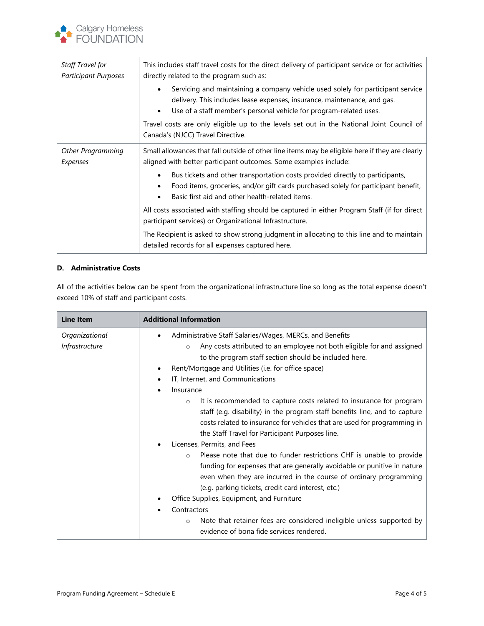

| Staff Travel for<br><b>Participant Purposes</b> | This includes staff travel costs for the direct delivery of participant service or for activities<br>directly related to the program such as:                                                                                                               |
|-------------------------------------------------|-------------------------------------------------------------------------------------------------------------------------------------------------------------------------------------------------------------------------------------------------------------|
|                                                 | Servicing and maintaining a company vehicle used solely for participant service<br>$\bullet$<br>delivery. This includes lease expenses, insurance, maintenance, and gas.<br>Use of a staff member's personal vehicle for program-related uses.<br>$\bullet$ |
|                                                 | Travel costs are only eligible up to the levels set out in the National Joint Council of<br>Canada's (NJCC) Travel Directive.                                                                                                                               |
| Other Programming<br>Expenses                   | Small allowances that fall outside of other line items may be eligible here if they are clearly<br>aligned with better participant outcomes. Some examples include:                                                                                         |
|                                                 | Bus tickets and other transportation costs provided directly to participants,<br>Food items, groceries, and/or gift cards purchased solely for participant benefit,<br>Basic first aid and other health-related items.                                      |
|                                                 | All costs associated with staffing should be captured in either Program Staff (if for direct<br>participant services) or Organizational Infrastructure.                                                                                                     |
|                                                 | The Recipient is asked to show strong judgment in allocating to this line and to maintain<br>detailed records for all expenses captured here.                                                                                                               |

### **D. Administrative Costs**

All of the activities below can be spent from the organizational infrastructure line so long as the total expense doesn't exceed 10% of staff and participant costs.

| Line Item                        | <b>Additional Information</b>                                                                                                                                                                                                                                                                                                                                                                                                                                                                                                                                                                                                                                                                                                                                                                                                                                                                                                                                                                                                                                                                                                           |
|----------------------------------|-----------------------------------------------------------------------------------------------------------------------------------------------------------------------------------------------------------------------------------------------------------------------------------------------------------------------------------------------------------------------------------------------------------------------------------------------------------------------------------------------------------------------------------------------------------------------------------------------------------------------------------------------------------------------------------------------------------------------------------------------------------------------------------------------------------------------------------------------------------------------------------------------------------------------------------------------------------------------------------------------------------------------------------------------------------------------------------------------------------------------------------------|
| Organizational<br>Infrastructure | Administrative Staff Salaries/Wages, MERCs, and Benefits<br>Any costs attributed to an employee not both eligible for and assigned<br>$\Omega$<br>to the program staff section should be included here.<br>Rent/Mortgage and Utilities (i.e. for office space)<br>٠<br>IT, Internet, and Communications<br>Insurance<br>It is recommended to capture costs related to insurance for program<br>$\circ$<br>staff (e.g. disability) in the program staff benefits line, and to capture<br>costs related to insurance for vehicles that are used for programming in<br>the Staff Travel for Participant Purposes line.<br>Licenses, Permits, and Fees<br>Please note that due to funder restrictions CHF is unable to provide<br>$\circ$<br>funding for expenses that are generally avoidable or punitive in nature<br>even when they are incurred in the course of ordinary programming<br>(e.g. parking tickets, credit card interest, etc.)<br>Office Supplies, Equipment, and Furniture<br>Contractors<br>Note that retainer fees are considered ineligible unless supported by<br>$\circ$<br>evidence of bona fide services rendered. |
|                                  |                                                                                                                                                                                                                                                                                                                                                                                                                                                                                                                                                                                                                                                                                                                                                                                                                                                                                                                                                                                                                                                                                                                                         |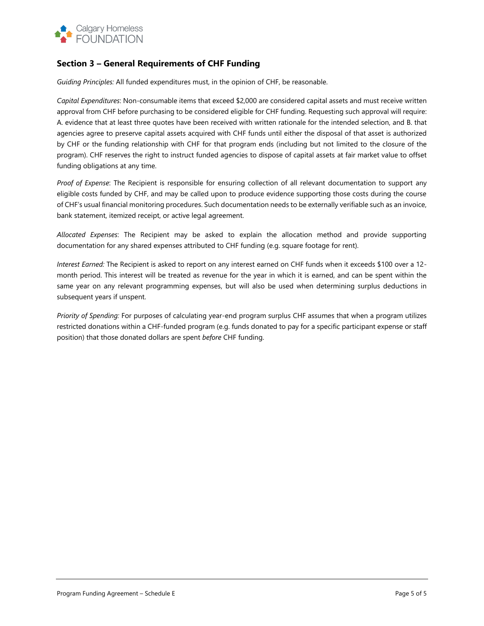

# **Section 3 – General Requirements of CHF Funding**

*Guiding Principles:* All funded expenditures must, in the opinion of CHF, be reasonable.

*Capital Expenditures*: Non-consumable items that exceed \$2,000 are considered capital assets and must receive written approval from CHF before purchasing to be considered eligible for CHF funding. Requesting such approval will require: A. evidence that at least three quotes have been received with written rationale for the intended selection, and B. that agencies agree to preserve capital assets acquired with CHF funds until either the disposal of that asset is authorized by CHF or the funding relationship with CHF for that program ends (including but not limited to the closure of the program). CHF reserves the right to instruct funded agencies to dispose of capital assets at fair market value to offset funding obligations at any time.

*Proof of Expense*: The Recipient is responsible for ensuring collection of all relevant documentation to support any eligible costs funded by CHF, and may be called upon to produce evidence supporting those costs during the course of CHF's usual financial monitoring procedures. Such documentation needs to be externally verifiable such as an invoice, bank statement, itemized receipt, or active legal agreement.

*Allocated Expenses*: The Recipient may be asked to explain the allocation method and provide supporting documentation for any shared expenses attributed to CHF funding (e.g. square footage for rent).

*Interest Earned:* The Recipient is asked to report on any interest earned on CHF funds when it exceeds \$100 over a 12 month period. This interest will be treated as revenue for the year in which it is earned, and can be spent within the same year on any relevant programming expenses, but will also be used when determining surplus deductions in subsequent years if unspent.

*Priority of Spending:* For purposes of calculating year-end program surplus CHF assumes that when a program utilizes restricted donations within a CHF-funded program (e.g. funds donated to pay for a specific participant expense or staff position) that those donated dollars are spent *before* CHF funding.